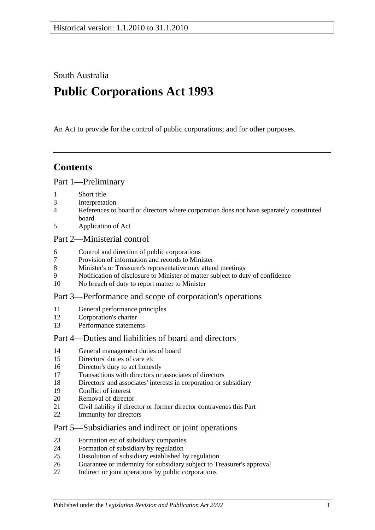South Australia

# **Public Corporations Act 1993**

An Act to provide for the control of public corporations; and for other purposes.

### **Contents**

#### [Part 1—Preliminary](#page-2-0)

- [Short title](#page-2-1)
- [Interpretation](#page-2-2)
- [References to board or directors where corporation does not have separately constituted](#page-4-0)  [board](#page-4-0)
- [Application of Act](#page-4-1)

#### [Part 2—Ministerial control](#page-5-0)

- [Control and direction of public corporations](#page-5-1)
- [Provision of information and records to Minister](#page-6-0)
- [Minister's or Treasurer's representative may attend meetings](#page-6-1)
- [Notification of disclosure to Minister of matter subject to duty of confidence](#page-6-2)
- [No breach of duty to report matter to Minister](#page-6-3)

#### [Part 3—Performance and scope of corporation's operations](#page-7-0)

- [General performance principles](#page-7-1)
- [Corporation's charter](#page-7-2)
- [Performance statements](#page-8-0)

### [Part 4—Duties and liabilities of board and directors](#page-8-1)

- [General management duties of board](#page-8-2)
- [Directors' duties of care etc](#page-9-0)
- [Director's duty to act honestly](#page-10-0)
- [Transactions with directors or associates of directors](#page-10-1)
- [Directors' and associates' interests in corporation or subsidiary](#page-11-0)
- [Conflict of interest](#page-12-0)
- [Removal of director](#page-13-0)
- [Civil liability if director or former director contravenes this Part](#page-13-1)
- [Immunity for directors](#page-13-2)

#### [Part 5—Subsidiaries and indirect or joint operations](#page-13-3)

- [Formation etc of subsidiary companies](#page-13-4)
- [Formation of subsidiary by regulation](#page-14-0)
- [Dissolution of subsidiary established by regulation](#page-14-1)
- [Guarantee or indemnity for subsidiary subject to Treasurer's approval](#page-15-0)
- [Indirect or joint operations by public corporations](#page-15-1)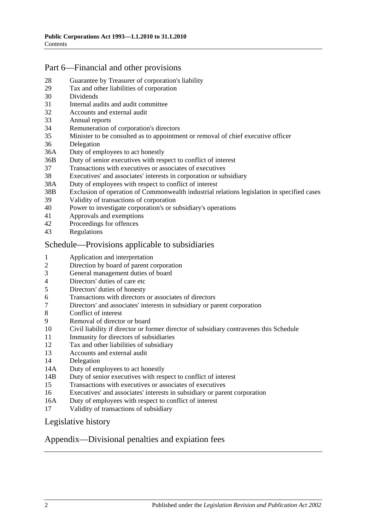### [Part 6—Financial and other provisions](#page-15-2)

- [Guarantee by Treasurer of corporation's liability](#page-15-3)
- [Tax and other liabilities of corporation](#page-15-4)
- [Dividends](#page-16-0)
- [Internal audits and audit committee](#page-16-1)
- [Accounts and external audit](#page-17-0)
- [Annual reports](#page-17-1)
- [Remuneration of corporation's directors](#page-18-0)
- [Minister to be consulted as to appointment or removal of chief executive officer](#page-18-1)
- [Delegation](#page-18-2)
- 36A [Duty of employees to act honestly](#page-19-0)
- 36B [Duty of senior executives with respect to conflict of interest](#page-19-1)
- [Transactions with executives or associates of executives](#page-21-0)
- [Executives' and associates' interests in corporation or subsidiary](#page-22-0)
- 38A [Duty of employees with respect to conflict of interest](#page-23-0)
- 38B [Exclusion of operation of Commonwealth industrial relations legislation in specified cases](#page-24-0)
- [Validity of transactions of corporation](#page-24-1)
- [Power to investigate corporation's or subsidiary's operations](#page-25-0)
- [Approvals and exemptions](#page-27-0)<br>42 Proceedings for offences
- [Proceedings for offences](#page-27-1)
- [Regulations](#page-27-2)

#### [Schedule—Provisions applicable to subsidiaries](#page-27-3)

- [Application and interpretation](#page-27-4)
- [Direction by board of parent corporation](#page-27-5)
- [General management duties of board](#page-27-6)
- [Directors' duties of care etc](#page-28-0)<br>5 Directors' duties of honesty
- [Directors' duties of honesty](#page-29-0)
- [Transactions with directors or associates of directors](#page-29-1)
- [Directors' and associates' interests in subsidiary or parent corporation](#page-30-0)
- [Conflict of interest](#page-31-0)<br>9 Removal of directo
- [Removal of director or board](#page-32-0)
- [Civil liability if director or former director of subsidiary contravenes this Schedule](#page-32-1)
- [Immunity for directors of subsidiaries](#page-32-2)
- [Tax and other liabilities of subsidiary](#page-32-3)
- [Accounts and external audit](#page-33-0)
- [Delegation](#page-33-1)
- 14A [Duty of employees to act honestly](#page-34-0)
- 14B [Duty of senior executives with respect to conflict of interest](#page-35-0)
- [Transactions with executives or associates of executives](#page-36-0)
- [Executives' and associates' interests in subsidiary or parent corporation](#page-38-0)
- 16A [Duty of employees with respect to conflict of interest](#page-39-0)
- [Validity of transactions of subsidiary](#page-40-0)

#### [Legislative history](#page-41-0)

#### [Appendix—Divisional penalties and expiation fees](#page-43-0)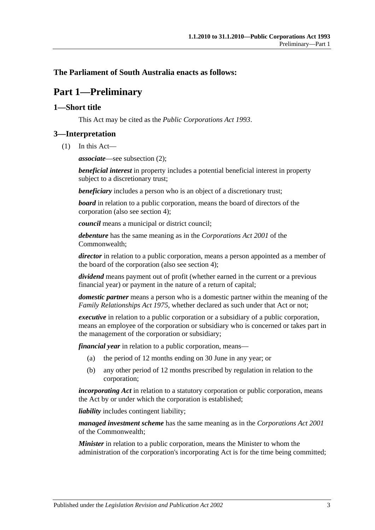#### <span id="page-2-0"></span>**The Parliament of South Australia enacts as follows:**

### **Part 1—Preliminary**

#### <span id="page-2-1"></span>**1—Short title**

This Act may be cited as the *Public Corporations Act 1993*.

#### <span id="page-2-2"></span>**3—Interpretation**

(1) In this Act—

*associate*—see [subsection](#page-3-0) (2);

*beneficial interest* in property includes a potential beneficial interest in property subject to a discretionary trust;

*beneficiary* includes a person who is an object of a discretionary trust;

*board* in relation to a public corporation, means the board of directors of the corporation (also see [section](#page-4-0) 4);

*council* means a municipal or district council;

*debenture* has the same meaning as in the *Corporations Act 2001* of the Commonwealth;

*director* in relation to a public corporation, means a person appointed as a member of the board of the corporation (also see [section](#page-4-0) 4);

*dividend* means payment out of profit (whether earned in the current or a previous financial year) or payment in the nature of a return of capital;

*domestic partner* means a person who is a domestic partner within the meaning of the *[Family Relationships Act](http://www.legislation.sa.gov.au/index.aspx?action=legref&type=act&legtitle=Family%20Relationships%20Act%201975) 1975*, whether declared as such under that Act or not;

*executive* in relation to a public corporation or a subsidiary of a public corporation, means an employee of the corporation or subsidiary who is concerned or takes part in the management of the corporation or subsidiary;

*financial year* in relation to a public corporation, means—

- (a) the period of 12 months ending on 30 June in any year; or
- (b) any other period of 12 months prescribed by regulation in relation to the corporation;

*incorporating Act* in relation to a statutory corporation or public corporation, means the Act by or under which the corporation is established;

*liability* includes contingent liability;

*managed investment scheme* has the same meaning as in the *Corporations Act 2001* of the Commonwealth;

*Minister* in relation to a public corporation, means the Minister to whom the administration of the corporation's incorporating Act is for the time being committed;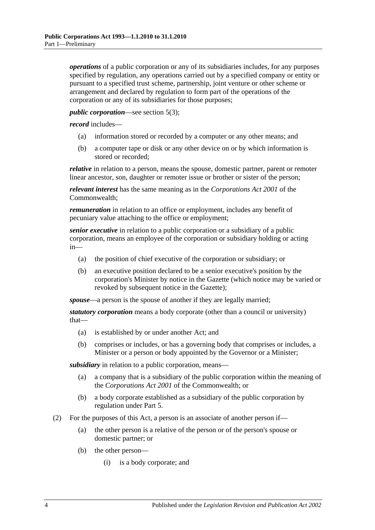*operations* of a public corporation or any of its subsidiaries includes, for any purposes specified by regulation, any operations carried out by a specified company or entity or pursuant to a specified trust scheme, partnership, joint venture or other scheme or arrangement and declared by regulation to form part of the operations of the corporation or any of its subsidiaries for those purposes;

#### *public corporation*—see [section](#page-4-2) 5(3);

*record* includes—

- (a) information stored or recorded by a computer or any other means; and
- (b) a computer tape or disk or any other device on or by which information is stored or recorded;

*relative* in relation to a person, means the spouse, domestic partner, parent or remoter linear ancestor, son, daughter or remoter issue or brother or sister of the person;

*relevant interest* has the same meaning as in the *Corporations Act 2001* of the Commonwealth;

*remuneration* in relation to an office or employment, includes any benefit of pecuniary value attaching to the office or employment;

*senior executive* in relation to a public corporation or a subsidiary of a public corporation, means an employee of the corporation or subsidiary holding or acting in—

- (a) the position of chief executive of the corporation or subsidiary; or
- (b) an executive position declared to be a senior executive's position by the corporation's Minister by notice in the Gazette (which notice may be varied or revoked by subsequent notice in the Gazette);

*spouse*—a person is the spouse of another if they are legally married;

*statutory corporation* means a body corporate (other than a council or university) that—

- (a) is established by or under another Act; and
- (b) comprises or includes, or has a governing body that comprises or includes, a Minister or a person or body appointed by the Governor or a Minister;

*subsidiary* in relation to a public corporation, means—

- (a) a company that is a subsidiary of the public corporation within the meaning of the *Corporations Act 2001* of the Commonwealth; or
- (b) a body corporate established as a subsidiary of the public corporation by regulation under [Part 5.](#page-13-3)
- <span id="page-3-1"></span><span id="page-3-0"></span>(2) For the purposes of this Act, a person is an associate of another person if—
	- (a) the other person is a relative of the person or of the person's spouse or domestic partner; or
	- (b) the other person—
		- (i) is a body corporate; and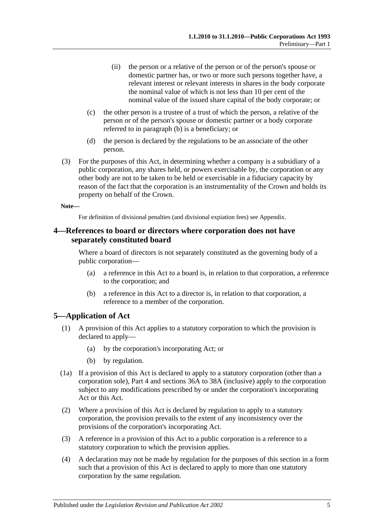- (ii) the person or a relative of the person or of the person's spouse or domestic partner has, or two or more such persons together have, a relevant interest or relevant interests in shares in the body corporate the nominal value of which is not less than 10 per cent of the nominal value of the issued share capital of the body corporate; or
- (c) the other person is a trustee of a trust of which the person, a relative of the person or of the person's spouse or domestic partner or a body corporate referred to in [paragraph](#page-3-1) (b) is a beneficiary; or
- (d) the person is declared by the regulations to be an associate of the other person.
- (3) For the purposes of this Act, in determining whether a company is a subsidiary of a public corporation, any shares held, or powers exercisable by, the corporation or any other body are not to be taken to be held or exercisable in a fiduciary capacity by reason of the fact that the corporation is an instrumentality of the Crown and holds its property on behalf of the Crown.

#### **Note—**

For definition of divisional penalties (and divisional expiation fees) see Appendix.

#### <span id="page-4-0"></span>**4—References to board or directors where corporation does not have separately constituted board**

Where a board of directors is not separately constituted as the governing body of a public corporation—

- (a) a reference in this Act to a board is, in relation to that corporation, a reference to the corporation; and
- (b) a reference in this Act to a director is, in relation to that corporation, a reference to a member of the corporation.

#### <span id="page-4-1"></span>**5—Application of Act**

- (1) A provision of this Act applies to a statutory corporation to which the provision is declared to apply—
	- (a) by the corporation's incorporating Act; or
	- (b) by regulation.
- (1a) If a provision of this Act is declared to apply to a statutory corporation (other than a corporation sole), [Part 4](#page-8-1) and [sections](#page-19-0) 36A to [38A](#page-23-0) (inclusive) apply to the corporation subject to any modifications prescribed by or under the corporation's incorporating Act or this Act.
- (2) Where a provision of this Act is declared by regulation to apply to a statutory corporation, the provision prevails to the extent of any inconsistency over the provisions of the corporation's incorporating Act.
- <span id="page-4-2"></span>(3) A reference in a provision of this Act to a public corporation is a reference to a statutory corporation to which the provision applies.
- (4) A declaration may not be made by regulation for the purposes of this section in a form such that a provision of this Act is declared to apply to more than one statutory corporation by the same regulation.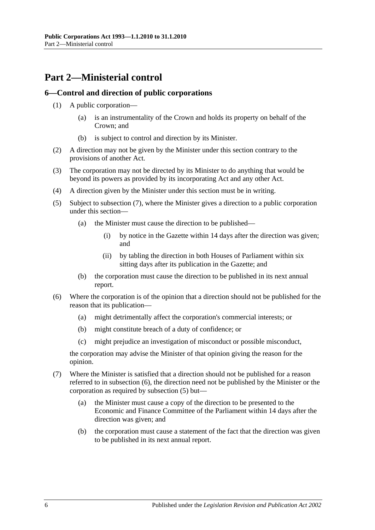### <span id="page-5-0"></span>**Part 2—Ministerial control**

#### <span id="page-5-1"></span>**6—Control and direction of public corporations**

- (1) A public corporation—
	- (a) is an instrumentality of the Crown and holds its property on behalf of the Crown; and
	- (b) is subject to control and direction by its Minister.
- (2) A direction may not be given by the Minister under this section contrary to the provisions of another Act.
- (3) The corporation may not be directed by its Minister to do anything that would be beyond its powers as provided by its incorporating Act and any other Act.
- (4) A direction given by the Minister under this section must be in writing.
- <span id="page-5-4"></span>(5) Subject to [subsection](#page-5-2) (7), where the Minister gives a direction to a public corporation under this section—
	- (a) the Minister must cause the direction to be published—
		- (i) by notice in the Gazette within 14 days after the direction was given; and
		- (ii) by tabling the direction in both Houses of Parliament within six sitting days after its publication in the Gazette; and
	- (b) the corporation must cause the direction to be published in its next annual report.
- <span id="page-5-3"></span>(6) Where the corporation is of the opinion that a direction should not be published for the reason that its publication—
	- (a) might detrimentally affect the corporation's commercial interests; or
	- (b) might constitute breach of a duty of confidence; or
	- (c) might prejudice an investigation of misconduct or possible misconduct,

the corporation may advise the Minister of that opinion giving the reason for the opinion.

- <span id="page-5-2"></span>(7) Where the Minister is satisfied that a direction should not be published for a reason referred to in [subsection](#page-5-3) (6), the direction need not be published by the Minister or the corporation as required by [subsection](#page-5-4) (5) but—
	- (a) the Minister must cause a copy of the direction to be presented to the Economic and Finance Committee of the Parliament within 14 days after the direction was given; and
	- (b) the corporation must cause a statement of the fact that the direction was given to be published in its next annual report.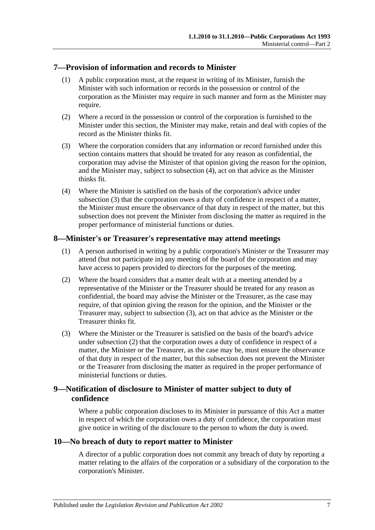#### <span id="page-6-0"></span>**7—Provision of information and records to Minister**

- (1) A public corporation must, at the request in writing of its Minister, furnish the Minister with such information or records in the possession or control of the corporation as the Minister may require in such manner and form as the Minister may require.
- (2) Where a record in the possession or control of the corporation is furnished to the Minister under this section, the Minister may make, retain and deal with copies of the record as the Minister thinks fit.
- <span id="page-6-5"></span>(3) Where the corporation considers that any information or record furnished under this section contains matters that should be treated for any reason as confidential, the corporation may advise the Minister of that opinion giving the reason for the opinion, and the Minister may, subject to [subsection](#page-6-4) (4), act on that advice as the Minister thinks fit.
- <span id="page-6-4"></span>(4) Where the Minister is satisfied on the basis of the corporation's advice under [subsection](#page-6-5) (3) that the corporation owes a duty of confidence in respect of a matter, the Minister must ensure the observance of that duty in respect of the matter, but this subsection does not prevent the Minister from disclosing the matter as required in the proper performance of ministerial functions or duties.

#### <span id="page-6-1"></span>**8—Minister's or Treasurer's representative may attend meetings**

- (1) A person authorised in writing by a public corporation's Minister or the Treasurer may attend (but not participate in) any meeting of the board of the corporation and may have access to papers provided to directors for the purposes of the meeting.
- <span id="page-6-7"></span>(2) Where the board considers that a matter dealt with at a meeting attended by a representative of the Minister or the Treasurer should be treated for any reason as confidential, the board may advise the Minister or the Treasurer, as the case may require, of that opinion giving the reason for the opinion, and the Minister or the Treasurer may, subject to [subsection](#page-6-6) (3), act on that advice as the Minister or the Treasurer thinks fit.
- <span id="page-6-6"></span>(3) Where the Minister or the Treasurer is satisfied on the basis of the board's advice under [subsection](#page-6-7) (2) that the corporation owes a duty of confidence in respect of a matter, the Minister or the Treasurer, as the case may be, must ensure the observance of that duty in respect of the matter, but this subsection does not prevent the Minister or the Treasurer from disclosing the matter as required in the proper performance of ministerial functions or duties.

#### <span id="page-6-2"></span>**9—Notification of disclosure to Minister of matter subject to duty of confidence**

Where a public corporation discloses to its Minister in pursuance of this Act a matter in respect of which the corporation owes a duty of confidence, the corporation must give notice in writing of the disclosure to the person to whom the duty is owed.

#### <span id="page-6-3"></span>**10—No breach of duty to report matter to Minister**

A director of a public corporation does not commit any breach of duty by reporting a matter relating to the affairs of the corporation or a subsidiary of the corporation to the corporation's Minister.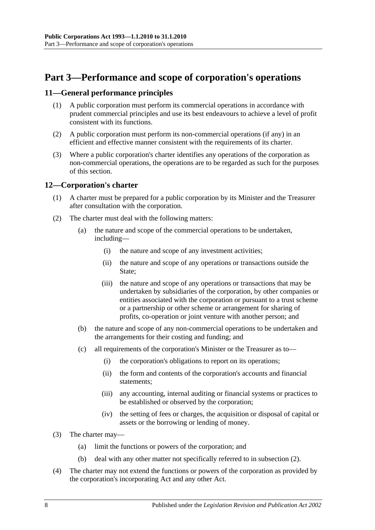### <span id="page-7-0"></span>**Part 3—Performance and scope of corporation's operations**

#### <span id="page-7-1"></span>**11—General performance principles**

- (1) A public corporation must perform its commercial operations in accordance with prudent commercial principles and use its best endeavours to achieve a level of profit consistent with its functions.
- (2) A public corporation must perform its non-commercial operations (if any) in an efficient and effective manner consistent with the requirements of its charter.
- (3) Where a public corporation's charter identifies any operations of the corporation as non-commercial operations, the operations are to be regarded as such for the purposes of this section.

#### <span id="page-7-2"></span>**12—Corporation's charter**

- (1) A charter must be prepared for a public corporation by its Minister and the Treasurer after consultation with the corporation.
- <span id="page-7-3"></span>(2) The charter must deal with the following matters:
	- (a) the nature and scope of the commercial operations to be undertaken, including—
		- (i) the nature and scope of any investment activities;
		- (ii) the nature and scope of any operations or transactions outside the State:
		- (iii) the nature and scope of any operations or transactions that may be undertaken by subsidiaries of the corporation, by other companies or entities associated with the corporation or pursuant to a trust scheme or a partnership or other scheme or arrangement for sharing of profits, co-operation or joint venture with another person; and
	- (b) the nature and scope of any non-commercial operations to be undertaken and the arrangements for their costing and funding; and
	- (c) all requirements of the corporation's Minister or the Treasurer as to—
		- (i) the corporation's obligations to report on its operations;
		- (ii) the form and contents of the corporation's accounts and financial statements;
		- (iii) any accounting, internal auditing or financial systems or practices to be established or observed by the corporation;
		- (iv) the setting of fees or charges, the acquisition or disposal of capital or assets or the borrowing or lending of money.
- (3) The charter may—
	- (a) limit the functions or powers of the corporation; and
	- (b) deal with any other matter not specifically referred to in [subsection](#page-7-3) (2).
- (4) The charter may not extend the functions or powers of the corporation as provided by the corporation's incorporating Act and any other Act.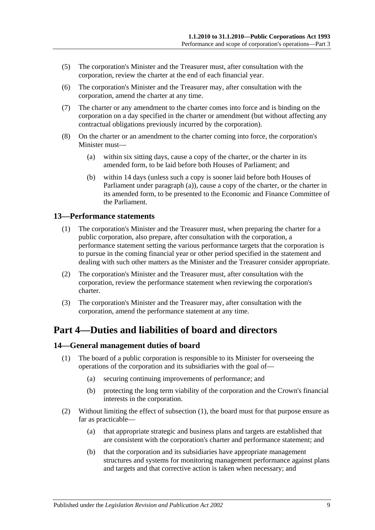- (5) The corporation's Minister and the Treasurer must, after consultation with the corporation, review the charter at the end of each financial year.
- (6) The corporation's Minister and the Treasurer may, after consultation with the corporation, amend the charter at any time.
- (7) The charter or any amendment to the charter comes into force and is binding on the corporation on a day specified in the charter or amendment (but without affecting any contractual obligations previously incurred by the corporation).
- <span id="page-8-3"></span>(8) On the charter or an amendment to the charter coming into force, the corporation's Minister must—
	- (a) within six sitting days, cause a copy of the charter, or the charter in its amended form, to be laid before both Houses of Parliament; and
	- (b) within 14 days (unless such a copy is sooner laid before both Houses of Parliament under [paragraph](#page-8-3) (a)), cause a copy of the charter, or the charter in its amended form, to be presented to the Economic and Finance Committee of the Parliament.

#### <span id="page-8-0"></span>**13—Performance statements**

- (1) The corporation's Minister and the Treasurer must, when preparing the charter for a public corporation, also prepare, after consultation with the corporation, a performance statement setting the various performance targets that the corporation is to pursue in the coming financial year or other period specified in the statement and dealing with such other matters as the Minister and the Treasurer consider appropriate.
- (2) The corporation's Minister and the Treasurer must, after consultation with the corporation, review the performance statement when reviewing the corporation's charter.
- (3) The corporation's Minister and the Treasurer may, after consultation with the corporation, amend the performance statement at any time.

### <span id="page-8-1"></span>**Part 4—Duties and liabilities of board and directors**

#### <span id="page-8-4"></span><span id="page-8-2"></span>**14—General management duties of board**

- (1) The board of a public corporation is responsible to its Minister for overseeing the operations of the corporation and its subsidiaries with the goal of—
	- (a) securing continuing improvements of performance; and
	- (b) protecting the long term viability of the corporation and the Crown's financial interests in the corporation.
- (2) Without limiting the effect of [subsection](#page-8-4) (1), the board must for that purpose ensure as far as practicable—
	- (a) that appropriate strategic and business plans and targets are established that are consistent with the corporation's charter and performance statement; and
	- (b) that the corporation and its subsidiaries have appropriate management structures and systems for monitoring management performance against plans and targets and that corrective action is taken when necessary; and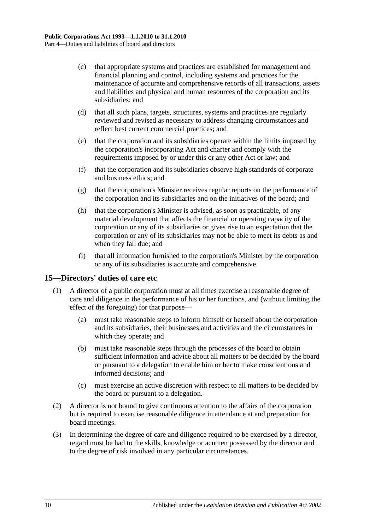- (c) that appropriate systems and practices are established for management and financial planning and control, including systems and practices for the maintenance of accurate and comprehensive records of all transactions, assets and liabilities and physical and human resources of the corporation and its subsidiaries; and
- (d) that all such plans, targets, structures, systems and practices are regularly reviewed and revised as necessary to address changing circumstances and reflect best current commercial practices; and
- (e) that the corporation and its subsidiaries operate within the limits imposed by the corporation's incorporating Act and charter and comply with the requirements imposed by or under this or any other Act or law; and
- (f) that the corporation and its subsidiaries observe high standards of corporate and business ethics; and
- (g) that the corporation's Minister receives regular reports on the performance of the corporation and its subsidiaries and on the initiatives of the board; and
- (h) that the corporation's Minister is advised, as soon as practicable, of any material development that affects the financial or operating capacity of the corporation or any of its subsidiaries or gives rise to an expectation that the corporation or any of its subsidiaries may not be able to meet its debts as and when they fall due; and
- (i) that all information furnished to the corporation's Minister by the corporation or any of its subsidiaries is accurate and comprehensive.

#### <span id="page-9-0"></span>**15—Directors' duties of care etc**

- (1) A director of a public corporation must at all times exercise a reasonable degree of care and diligence in the performance of his or her functions, and (without limiting the effect of the foregoing) for that purpose—
	- (a) must take reasonable steps to inform himself or herself about the corporation and its subsidiaries, their businesses and activities and the circumstances in which they operate; and
	- (b) must take reasonable steps through the processes of the board to obtain sufficient information and advice about all matters to be decided by the board or pursuant to a delegation to enable him or her to make conscientious and informed decisions; and
	- (c) must exercise an active discretion with respect to all matters to be decided by the board or pursuant to a delegation.
- (2) A director is not bound to give continuous attention to the affairs of the corporation but is required to exercise reasonable diligence in attendance at and preparation for board meetings.
- (3) In determining the degree of care and diligence required to be exercised by a director, regard must be had to the skills, knowledge or acumen possessed by the director and to the degree of risk involved in any particular circumstances.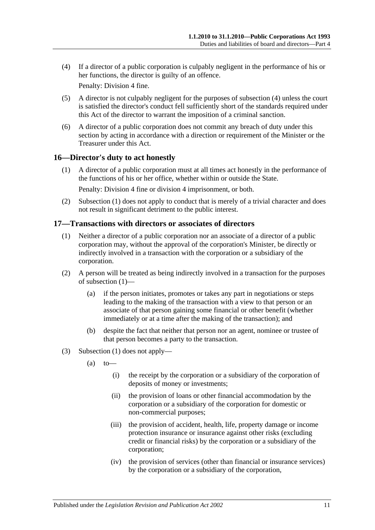<span id="page-10-2"></span>(4) If a director of a public corporation is culpably negligent in the performance of his or her functions, the director is guilty of an offence.

Penalty: Division 4 fine.

- (5) A director is not culpably negligent for the purposes of [subsection](#page-10-2) (4) unless the court is satisfied the director's conduct fell sufficiently short of the standards required under this Act of the director to warrant the imposition of a criminal sanction.
- (6) A director of a public corporation does not commit any breach of duty under this section by acting in accordance with a direction or requirement of the Minister or the Treasurer under this Act.

#### <span id="page-10-3"></span><span id="page-10-0"></span>**16—Director's duty to act honestly**

(1) A director of a public corporation must at all times act honestly in the performance of the functions of his or her office, whether within or outside the State.

Penalty: Division 4 fine or division 4 imprisonment, or both.

(2) [Subsection](#page-10-3) (1) does not apply to conduct that is merely of a trivial character and does not result in significant detriment to the public interest.

#### <span id="page-10-4"></span><span id="page-10-1"></span>**17—Transactions with directors or associates of directors**

- (1) Neither a director of a public corporation nor an associate of a director of a public corporation may, without the approval of the corporation's Minister, be directly or indirectly involved in a transaction with the corporation or a subsidiary of the corporation.
- (2) A person will be treated as being indirectly involved in a transaction for the purposes of [subsection](#page-10-4) (1)—
	- (a) if the person initiates, promotes or takes any part in negotiations or steps leading to the making of the transaction with a view to that person or an associate of that person gaining some financial or other benefit (whether immediately or at a time after the making of the transaction); and
	- (b) despite the fact that neither that person nor an agent, nominee or trustee of that person becomes a party to the transaction.
- (3) [Subsection](#page-10-4) (1) does not apply—
	- $(a)$  to
		- (i) the receipt by the corporation or a subsidiary of the corporation of deposits of money or investments;
		- (ii) the provision of loans or other financial accommodation by the corporation or a subsidiary of the corporation for domestic or non-commercial purposes;
		- (iii) the provision of accident, health, life, property damage or income protection insurance or insurance against other risks (excluding credit or financial risks) by the corporation or a subsidiary of the corporation;
		- (iv) the provision of services (other than financial or insurance services) by the corporation or a subsidiary of the corporation,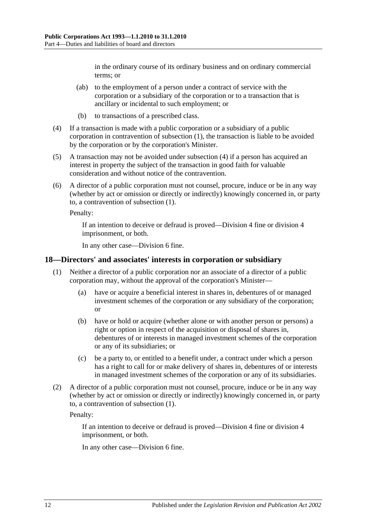in the ordinary course of its ordinary business and on ordinary commercial terms; or

- (ab) to the employment of a person under a contract of service with the corporation or a subsidiary of the corporation or to a transaction that is ancillary or incidental to such employment; or
- (b) to transactions of a prescribed class.
- <span id="page-11-1"></span>(4) If a transaction is made with a public corporation or a subsidiary of a public corporation in contravention of [subsection](#page-10-4) (1), the transaction is liable to be avoided by the corporation or by the corporation's Minister.
- (5) A transaction may not be avoided under [subsection](#page-11-1) (4) if a person has acquired an interest in property the subject of the transaction in good faith for valuable consideration and without notice of the contravention.
- (6) A director of a public corporation must not counsel, procure, induce or be in any way (whether by act or omission or directly or indirectly) knowingly concerned in, or party to, a contravention of [subsection](#page-10-4) (1).

Penalty:

If an intention to deceive or defraud is proved—Division 4 fine or division 4 imprisonment, or both.

In any other case—Division 6 fine.

#### <span id="page-11-2"></span><span id="page-11-0"></span>**18—Directors' and associates' interests in corporation or subsidiary**

- (1) Neither a director of a public corporation nor an associate of a director of a public corporation may, without the approval of the corporation's Minister—
	- (a) have or acquire a beneficial interest in shares in, debentures of or managed investment schemes of the corporation or any subsidiary of the corporation; or
	- (b) have or hold or acquire (whether alone or with another person or persons) a right or option in respect of the acquisition or disposal of shares in, debentures of or interests in managed investment schemes of the corporation or any of its subsidiaries; or
	- (c) be a party to, or entitled to a benefit under, a contract under which a person has a right to call for or make delivery of shares in, debentures of or interests in managed investment schemes of the corporation or any of its subsidiaries.
- (2) A director of a public corporation must not counsel, procure, induce or be in any way (whether by act or omission or directly or indirectly) knowingly concerned in, or party to, a contravention of [subsection](#page-11-2) (1).

Penalty:

If an intention to deceive or defraud is proved—Division 4 fine or division 4 imprisonment, or both.

In any other case—Division 6 fine.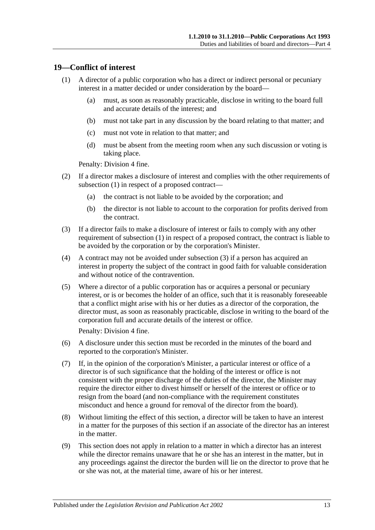#### <span id="page-12-1"></span><span id="page-12-0"></span>**19—Conflict of interest**

- (1) A director of a public corporation who has a direct or indirect personal or pecuniary interest in a matter decided or under consideration by the board—
	- (a) must, as soon as reasonably practicable, disclose in writing to the board full and accurate details of the interest; and
	- (b) must not take part in any discussion by the board relating to that matter; and
	- (c) must not vote in relation to that matter; and
	- (d) must be absent from the meeting room when any such discussion or voting is taking place.

Penalty: Division 4 fine.

- (2) If a director makes a disclosure of interest and complies with the other requirements of [subsection](#page-12-1) (1) in respect of a proposed contract—
	- (a) the contract is not liable to be avoided by the corporation; and
	- (b) the director is not liable to account to the corporation for profits derived from the contract.
- <span id="page-12-2"></span>(3) If a director fails to make a disclosure of interest or fails to comply with any other requirement of [subsection](#page-12-1) (1) in respect of a proposed contract, the contract is liable to be avoided by the corporation or by the corporation's Minister.
- (4) A contract may not be avoided under [subsection](#page-12-2) (3) if a person has acquired an interest in property the subject of the contract in good faith for valuable consideration and without notice of the contravention.
- (5) Where a director of a public corporation has or acquires a personal or pecuniary interest, or is or becomes the holder of an office, such that it is reasonably foreseeable that a conflict might arise with his or her duties as a director of the corporation, the director must, as soon as reasonably practicable, disclose in writing to the board of the corporation full and accurate details of the interest or office.

Penalty: Division 4 fine.

- (6) A disclosure under this section must be recorded in the minutes of the board and reported to the corporation's Minister.
- (7) If, in the opinion of the corporation's Minister, a particular interest or office of a director is of such significance that the holding of the interest or office is not consistent with the proper discharge of the duties of the director, the Minister may require the director either to divest himself or herself of the interest or office or to resign from the board (and non-compliance with the requirement constitutes misconduct and hence a ground for removal of the director from the board).
- (8) Without limiting the effect of this section, a director will be taken to have an interest in a matter for the purposes of this section if an associate of the director has an interest in the matter.
- (9) This section does not apply in relation to a matter in which a director has an interest while the director remains unaware that he or she has an interest in the matter, but in any proceedings against the director the burden will lie on the director to prove that he or she was not, at the material time, aware of his or her interest.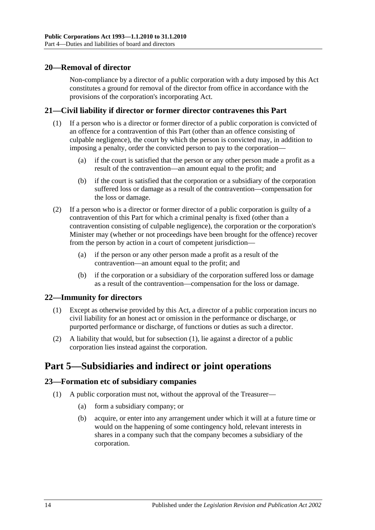#### <span id="page-13-0"></span>**20—Removal of director**

Non-compliance by a director of a public corporation with a duty imposed by this Act constitutes a ground for removal of the director from office in accordance with the provisions of the corporation's incorporating Act.

#### <span id="page-13-1"></span>**21—Civil liability if director or former director contravenes this Part**

- (1) If a person who is a director or former director of a public corporation is convicted of an offence for a contravention of this Part (other than an offence consisting of culpable negligence), the court by which the person is convicted may, in addition to imposing a penalty, order the convicted person to pay to the corporation—
	- (a) if the court is satisfied that the person or any other person made a profit as a result of the contravention—an amount equal to the profit; and
	- (b) if the court is satisfied that the corporation or a subsidiary of the corporation suffered loss or damage as a result of the contravention—compensation for the loss or damage.
- (2) If a person who is a director or former director of a public corporation is guilty of a contravention of this Part for which a criminal penalty is fixed (other than a contravention consisting of culpable negligence), the corporation or the corporation's Minister may (whether or not proceedings have been brought for the offence) recover from the person by action in a court of competent jurisdiction—
	- (a) if the person or any other person made a profit as a result of the contravention—an amount equal to the profit; and
	- (b) if the corporation or a subsidiary of the corporation suffered loss or damage as a result of the contravention—compensation for the loss or damage.

#### <span id="page-13-5"></span><span id="page-13-2"></span>**22—Immunity for directors**

- (1) Except as otherwise provided by this Act, a director of a public corporation incurs no civil liability for an honest act or omission in the performance or discharge, or purported performance or discharge, of functions or duties as such a director.
- (2) A liability that would, but for [subsection](#page-13-5) (1), lie against a director of a public corporation lies instead against the corporation.

### <span id="page-13-3"></span>**Part 5—Subsidiaries and indirect or joint operations**

#### <span id="page-13-4"></span>**23—Formation etc of subsidiary companies**

- (1) A public corporation must not, without the approval of the Treasurer—
	- (a) form a subsidiary company; or
	- (b) acquire, or enter into any arrangement under which it will at a future time or would on the happening of some contingency hold, relevant interests in shares in a company such that the company becomes a subsidiary of the corporation.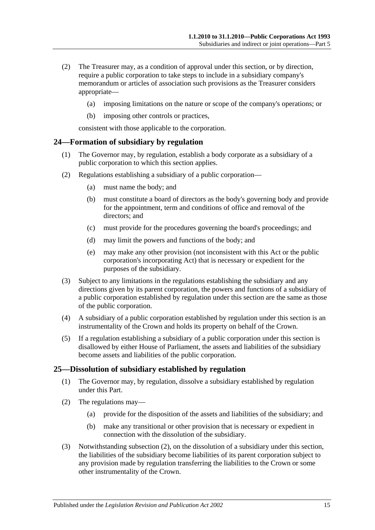- (2) The Treasurer may, as a condition of approval under this section, or by direction, require a public corporation to take steps to include in a subsidiary company's memorandum or articles of association such provisions as the Treasurer considers appropriate—
	- (a) imposing limitations on the nature or scope of the company's operations; or
	- (b) imposing other controls or practices,

consistent with those applicable to the corporation.

#### <span id="page-14-0"></span>**24—Formation of subsidiary by regulation**

- (1) The Governor may, by regulation, establish a body corporate as a subsidiary of a public corporation to which this section applies.
- (2) Regulations establishing a subsidiary of a public corporation—
	- (a) must name the body; and
	- (b) must constitute a board of directors as the body's governing body and provide for the appointment, term and conditions of office and removal of the directors; and
	- (c) must provide for the procedures governing the board's proceedings; and
	- (d) may limit the powers and functions of the body; and
	- (e) may make any other provision (not inconsistent with this Act or the public corporation's incorporating Act) that is necessary or expedient for the purposes of the subsidiary.
- (3) Subject to any limitations in the regulations establishing the subsidiary and any directions given by its parent corporation, the powers and functions of a subsidiary of a public corporation established by regulation under this section are the same as those of the public corporation.
- (4) A subsidiary of a public corporation established by regulation under this section is an instrumentality of the Crown and holds its property on behalf of the Crown.
- (5) If a regulation establishing a subsidiary of a public corporation under this section is disallowed by either House of Parliament, the assets and liabilities of the subsidiary become assets and liabilities of the public corporation.

#### <span id="page-14-1"></span>**25—Dissolution of subsidiary established by regulation**

- (1) The Governor may, by regulation, dissolve a subsidiary established by regulation under this Part.
- <span id="page-14-2"></span>(2) The regulations may—
	- (a) provide for the disposition of the assets and liabilities of the subsidiary; and
	- (b) make any transitional or other provision that is necessary or expedient in connection with the dissolution of the subsidiary.
- (3) Notwithstanding [subsection](#page-14-2) (2), on the dissolution of a subsidiary under this section, the liabilities of the subsidiary become liabilities of its parent corporation subject to any provision made by regulation transferring the liabilities to the Crown or some other instrumentality of the Crown.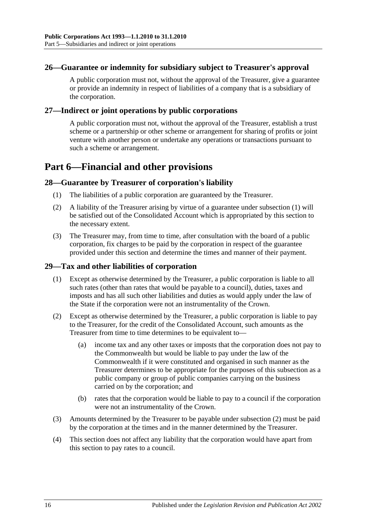#### <span id="page-15-0"></span>**26—Guarantee or indemnity for subsidiary subject to Treasurer's approval**

A public corporation must not, without the approval of the Treasurer, give a guarantee or provide an indemnity in respect of liabilities of a company that is a subsidiary of the corporation.

#### <span id="page-15-1"></span>**27—Indirect or joint operations by public corporations**

A public corporation must not, without the approval of the Treasurer, establish a trust scheme or a partnership or other scheme or arrangement for sharing of profits or joint venture with another person or undertake any operations or transactions pursuant to such a scheme or arrangement.

### <span id="page-15-2"></span>**Part 6—Financial and other provisions**

#### <span id="page-15-5"></span><span id="page-15-3"></span>**28—Guarantee by Treasurer of corporation's liability**

- (1) The liabilities of a public corporation are guaranteed by the Treasurer.
- (2) A liability of the Treasurer arising by virtue of a guarantee under [subsection](#page-15-5) (1) will be satisfied out of the Consolidated Account which is appropriated by this section to the necessary extent.
- (3) The Treasurer may, from time to time, after consultation with the board of a public corporation, fix charges to be paid by the corporation in respect of the guarantee provided under this section and determine the times and manner of their payment.

#### <span id="page-15-4"></span>**29—Tax and other liabilities of corporation**

- (1) Except as otherwise determined by the Treasurer, a public corporation is liable to all such rates (other than rates that would be payable to a council), duties, taxes and imposts and has all such other liabilities and duties as would apply under the law of the State if the corporation were not an instrumentality of the Crown.
- <span id="page-15-6"></span>(2) Except as otherwise determined by the Treasurer, a public corporation is liable to pay to the Treasurer, for the credit of the Consolidated Account, such amounts as the Treasurer from time to time determines to be equivalent to—
	- (a) income tax and any other taxes or imposts that the corporation does not pay to the Commonwealth but would be liable to pay under the law of the Commonwealth if it were constituted and organised in such manner as the Treasurer determines to be appropriate for the purposes of this subsection as a public company or group of public companies carrying on the business carried on by the corporation; and
	- (b) rates that the corporation would be liable to pay to a council if the corporation were not an instrumentality of the Crown.
- (3) Amounts determined by the Treasurer to be payable under [subsection](#page-15-6) (2) must be paid by the corporation at the times and in the manner determined by the Treasurer.
- (4) This section does not affect any liability that the corporation would have apart from this section to pay rates to a council.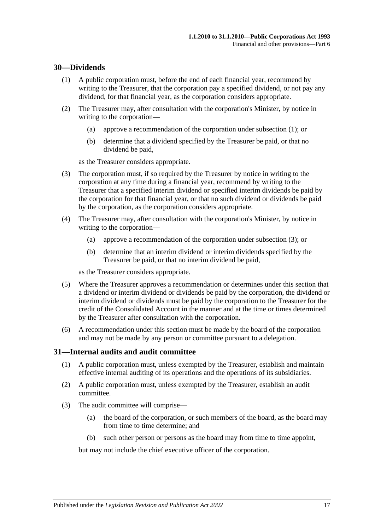#### <span id="page-16-2"></span><span id="page-16-0"></span>**30—Dividends**

- (1) A public corporation must, before the end of each financial year, recommend by writing to the Treasurer, that the corporation pay a specified dividend, or not pay any dividend, for that financial year, as the corporation considers appropriate.
- (2) The Treasurer may, after consultation with the corporation's Minister, by notice in writing to the corporation—
	- (a) approve a recommendation of the corporation under [subsection](#page-16-2) (1); or
	- (b) determine that a dividend specified by the Treasurer be paid, or that no dividend be paid,

as the Treasurer considers appropriate.

- <span id="page-16-3"></span>(3) The corporation must, if so required by the Treasurer by notice in writing to the corporation at any time during a financial year, recommend by writing to the Treasurer that a specified interim dividend or specified interim dividends be paid by the corporation for that financial year, or that no such dividend or dividends be paid by the corporation, as the corporation considers appropriate.
- (4) The Treasurer may, after consultation with the corporation's Minister, by notice in writing to the corporation—
	- (a) approve a recommendation of the corporation under [subsection](#page-16-3) (3); or
	- (b) determine that an interim dividend or interim dividends specified by the Treasurer be paid, or that no interim dividend be paid,

as the Treasurer considers appropriate.

- (5) Where the Treasurer approves a recommendation or determines under this section that a dividend or interim dividend or dividends be paid by the corporation, the dividend or interim dividend or dividends must be paid by the corporation to the Treasurer for the credit of the Consolidated Account in the manner and at the time or times determined by the Treasurer after consultation with the corporation.
- (6) A recommendation under this section must be made by the board of the corporation and may not be made by any person or committee pursuant to a delegation.

#### <span id="page-16-1"></span>**31—Internal audits and audit committee**

- (1) A public corporation must, unless exempted by the Treasurer, establish and maintain effective internal auditing of its operations and the operations of its subsidiaries.
- (2) A public corporation must, unless exempted by the Treasurer, establish an audit committee.
- (3) The audit committee will comprise—
	- (a) the board of the corporation, or such members of the board, as the board may from time to time determine; and
	- (b) such other person or persons as the board may from time to time appoint,

but may not include the chief executive officer of the corporation.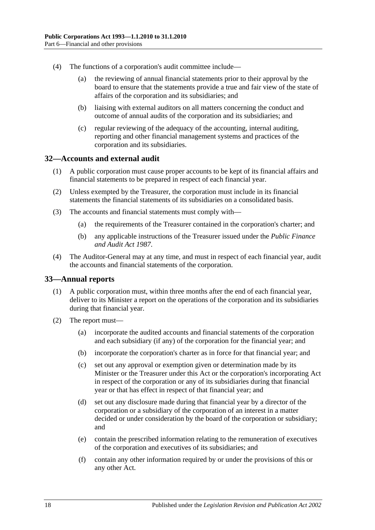- (4) The functions of a corporation's audit committee include—
	- (a) the reviewing of annual financial statements prior to their approval by the board to ensure that the statements provide a true and fair view of the state of affairs of the corporation and its subsidiaries; and
	- (b) liaising with external auditors on all matters concerning the conduct and outcome of annual audits of the corporation and its subsidiaries; and
	- (c) regular reviewing of the adequacy of the accounting, internal auditing, reporting and other financial management systems and practices of the corporation and its subsidiaries.

#### <span id="page-17-0"></span>**32—Accounts and external audit**

- (1) A public corporation must cause proper accounts to be kept of its financial affairs and financial statements to be prepared in respect of each financial year.
- (2) Unless exempted by the Treasurer, the corporation must include in its financial statements the financial statements of its subsidiaries on a consolidated basis.
- (3) The accounts and financial statements must comply with—
	- (a) the requirements of the Treasurer contained in the corporation's charter; and
	- (b) any applicable instructions of the Treasurer issued under the *[Public Finance](http://www.legislation.sa.gov.au/index.aspx?action=legref&type=act&legtitle=Public%20Finance%20and%20Audit%20Act%201987)  [and Audit Act](http://www.legislation.sa.gov.au/index.aspx?action=legref&type=act&legtitle=Public%20Finance%20and%20Audit%20Act%201987) 1987*.
- (4) The Auditor-General may at any time, and must in respect of each financial year, audit the accounts and financial statements of the corporation.

#### <span id="page-17-1"></span>**33—Annual reports**

- (1) A public corporation must, within three months after the end of each financial year, deliver to its Minister a report on the operations of the corporation and its subsidiaries during that financial year.
- (2) The report must—
	- (a) incorporate the audited accounts and financial statements of the corporation and each subsidiary (if any) of the corporation for the financial year; and
	- (b) incorporate the corporation's charter as in force for that financial year; and
	- (c) set out any approval or exemption given or determination made by its Minister or the Treasurer under this Act or the corporation's incorporating Act in respect of the corporation or any of its subsidiaries during that financial year or that has effect in respect of that financial year; and
	- (d) set out any disclosure made during that financial year by a director of the corporation or a subsidiary of the corporation of an interest in a matter decided or under consideration by the board of the corporation or subsidiary; and
	- (e) contain the prescribed information relating to the remuneration of executives of the corporation and executives of its subsidiaries; and
	- (f) contain any other information required by or under the provisions of this or any other Act.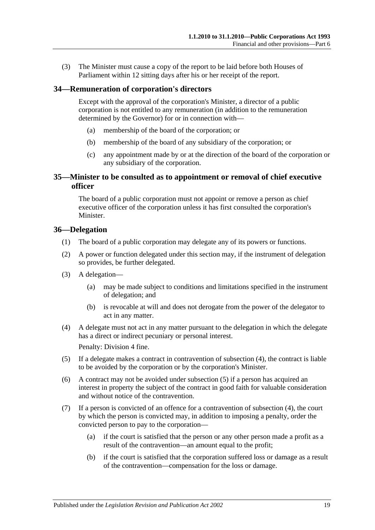(3) The Minister must cause a copy of the report to be laid before both Houses of Parliament within 12 sitting days after his or her receipt of the report.

#### <span id="page-18-0"></span>**34—Remuneration of corporation's directors**

Except with the approval of the corporation's Minister, a director of a public corporation is not entitled to any remuneration (in addition to the remuneration determined by the Governor) for or in connection with—

- (a) membership of the board of the corporation; or
- (b) membership of the board of any subsidiary of the corporation; or
- (c) any appointment made by or at the direction of the board of the corporation or any subsidiary of the corporation.

#### <span id="page-18-1"></span>**35—Minister to be consulted as to appointment or removal of chief executive officer**

The board of a public corporation must not appoint or remove a person as chief executive officer of the corporation unless it has first consulted the corporation's Minister.

#### <span id="page-18-2"></span>**36—Delegation**

- (1) The board of a public corporation may delegate any of its powers or functions.
- (2) A power or function delegated under this section may, if the instrument of delegation so provides, be further delegated.
- (3) A delegation—
	- (a) may be made subject to conditions and limitations specified in the instrument of delegation; and
	- (b) is revocable at will and does not derogate from the power of the delegator to act in any matter.
- <span id="page-18-3"></span>(4) A delegate must not act in any matter pursuant to the delegation in which the delegate has a direct or indirect pecuniary or personal interest.

Penalty: Division 4 fine.

- <span id="page-18-4"></span>(5) If a delegate makes a contract in contravention of [subsection](#page-18-3) (4), the contract is liable to be avoided by the corporation or by the corporation's Minister.
- (6) A contract may not be avoided under [subsection](#page-18-4) (5) if a person has acquired an interest in property the subject of the contract in good faith for valuable consideration and without notice of the contravention.
- (7) If a person is convicted of an offence for a contravention of [subsection](#page-18-3) (4), the court by which the person is convicted may, in addition to imposing a penalty, order the convicted person to pay to the corporation—
	- (a) if the court is satisfied that the person or any other person made a profit as a result of the contravention—an amount equal to the profit;
	- (b) if the court is satisfied that the corporation suffered loss or damage as a result of the contravention—compensation for the loss or damage.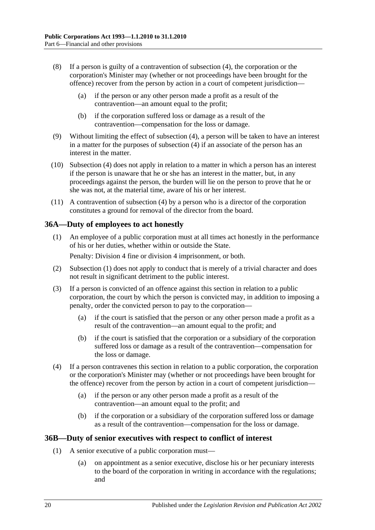- (8) If a person is guilty of a contravention of [subsection](#page-18-3) (4), the corporation or the corporation's Minister may (whether or not proceedings have been brought for the offence) recover from the person by action in a court of competent jurisdiction—
	- (a) if the person or any other person made a profit as a result of the contravention—an amount equal to the profit;
	- (b) if the corporation suffered loss or damage as a result of the contravention—compensation for the loss or damage.
- (9) Without limiting the effect of [subsection](#page-18-3) (4), a person will be taken to have an interest in a matter for the purposes of [subsection](#page-18-3) (4) if an associate of the person has an interest in the matter.
- (10) [Subsection](#page-18-3) (4) does not apply in relation to a matter in which a person has an interest if the person is unaware that he or she has an interest in the matter, but, in any proceedings against the person, the burden will lie on the person to prove that he or she was not, at the material time, aware of his or her interest.
- (11) A contravention of [subsection](#page-18-3) (4) by a person who is a director of the corporation constitutes a ground for removal of the director from the board.

#### <span id="page-19-2"></span><span id="page-19-0"></span>**36A—Duty of employees to act honestly**

(1) An employee of a public corporation must at all times act honestly in the performance of his or her duties, whether within or outside the State.

Penalty: Division 4 fine or division 4 imprisonment, or both.

- (2) [Subsection](#page-19-2) (1) does not apply to conduct that is merely of a trivial character and does not result in significant detriment to the public interest.
- (3) If a person is convicted of an offence against this section in relation to a public corporation, the court by which the person is convicted may, in addition to imposing a penalty, order the convicted person to pay to the corporation—
	- (a) if the court is satisfied that the person or any other person made a profit as a result of the contravention—an amount equal to the profit; and
	- (b) if the court is satisfied that the corporation or a subsidiary of the corporation suffered loss or damage as a result of the contravention—compensation for the loss or damage.
- (4) If a person contravenes this section in relation to a public corporation, the corporation or the corporation's Minister may (whether or not proceedings have been brought for the offence) recover from the person by action in a court of competent jurisdiction—
	- (a) if the person or any other person made a profit as a result of the contravention—an amount equal to the profit; and
	- (b) if the corporation or a subsidiary of the corporation suffered loss or damage as a result of the contravention—compensation for the loss or damage.

#### <span id="page-19-4"></span><span id="page-19-1"></span>**36B—Duty of senior executives with respect to conflict of interest**

- <span id="page-19-3"></span>(1) A senior executive of a public corporation must—
	- (a) on appointment as a senior executive, disclose his or her pecuniary interests to the board of the corporation in writing in accordance with the regulations; and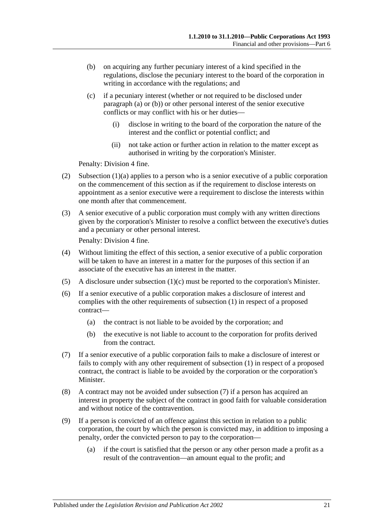- <span id="page-20-0"></span>(b) on acquiring any further pecuniary interest of a kind specified in the regulations, disclose the pecuniary interest to the board of the corporation in writing in accordance with the regulations; and
- <span id="page-20-1"></span>(c) if a pecuniary interest (whether or not required to be disclosed under [paragraph](#page-19-3) (a) or [\(b\)\)](#page-20-0) or other personal interest of the senior executive conflicts or may conflict with his or her duties—
	- (i) disclose in writing to the board of the corporation the nature of the interest and the conflict or potential conflict; and
	- (ii) not take action or further action in relation to the matter except as authorised in writing by the corporation's Minister.

Penalty: Division 4 fine.

- (2) [Subsection](#page-19-3)  $(1)(a)$  applies to a person who is a senior executive of a public corporation on the commencement of this section as if the requirement to disclose interests on appointment as a senior executive were a requirement to disclose the interests within one month after that commencement.
- (3) A senior executive of a public corporation must comply with any written directions given by the corporation's Minister to resolve a conflict between the executive's duties and a pecuniary or other personal interest.

Penalty: Division 4 fine.

- (4) Without limiting the effect of this section, a senior executive of a public corporation will be taken to have an interest in a matter for the purposes of this section if an associate of the executive has an interest in the matter.
- (5) A disclosure under [subsection](#page-20-1)  $(1)(c)$  must be reported to the corporation's Minister.
- (6) If a senior executive of a public corporation makes a disclosure of interest and complies with the other requirements of [subsection](#page-19-4) (1) in respect of a proposed contract—
	- (a) the contract is not liable to be avoided by the corporation; and
	- (b) the executive is not liable to account to the corporation for profits derived from the contract.
- <span id="page-20-2"></span>(7) If a senior executive of a public corporation fails to make a disclosure of interest or fails to comply with any other requirement of [subsection](#page-19-4) (1) in respect of a proposed contract, the contract is liable to be avoided by the corporation or the corporation's Minister.
- (8) A contract may not be avoided under [subsection](#page-20-2) (7) if a person has acquired an interest in property the subject of the contract in good faith for valuable consideration and without notice of the contravention.
- (9) If a person is convicted of an offence against this section in relation to a public corporation, the court by which the person is convicted may, in addition to imposing a penalty, order the convicted person to pay to the corporation—
	- (a) if the court is satisfied that the person or any other person made a profit as a result of the contravention—an amount equal to the profit; and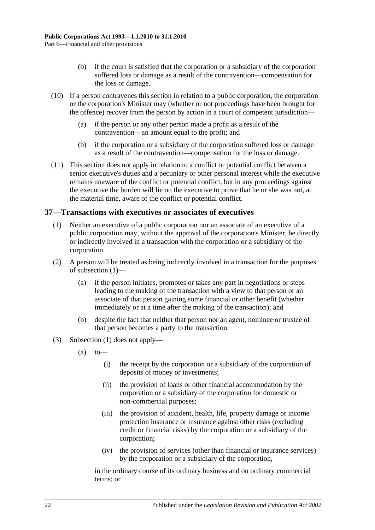- (b) if the court is satisfied that the corporation or a subsidiary of the corporation suffered loss or damage as a result of the contravention—compensation for the loss or damage.
- (10) If a person contravenes this section in relation to a public corporation, the corporation or the corporation's Minister may (whether or not proceedings have been brought for the offence) recover from the person by action in a court of competent jurisdiction—
	- (a) if the person or any other person made a profit as a result of the contravention—an amount equal to the profit; and
	- (b) if the corporation or a subsidiary of the corporation suffered loss or damage as a result of the contravention—compensation for the loss or damage.
- (11) This section does not apply in relation to a conflict or potential conflict between a senior executive's duties and a pecuniary or other personal interest while the executive remains unaware of the conflict or potential conflict, but in any proceedings against the executive the burden will lie on the executive to prove that he or she was not, at the material time, aware of the conflict or potential conflict.

#### <span id="page-21-1"></span><span id="page-21-0"></span>**37—Transactions with executives or associates of executives**

- (1) Neither an executive of a public corporation nor an associate of an executive of a public corporation may, without the approval of the corporation's Minister, be directly or indirectly involved in a transaction with the corporation or a subsidiary of the corporation.
- (2) A person will be treated as being indirectly involved in a transaction for the purposes of [subsection](#page-21-1) (1)—
	- (a) if the person initiates, promotes or takes any part in negotiations or steps leading to the making of the transaction with a view to that person or an associate of that person gaining some financial or other benefit (whether immediately or at a time after the making of the transaction); and
	- (b) despite the fact that neither that person nor an agent, nominee or trustee of that person becomes a party to the transaction.
- (3) [Subsection](#page-21-1) (1) does not apply—
	- $(a)$  to
		- (i) the receipt by the corporation or a subsidiary of the corporation of deposits of money or investments;
		- (ii) the provision of loans or other financial accommodation by the corporation or a subsidiary of the corporation for domestic or non-commercial purposes;
		- (iii) the provision of accident, health, life, property damage or income protection insurance or insurance against other risks (excluding credit or financial risks) by the corporation or a subsidiary of the corporation;
		- (iv) the provision of services (other than financial or insurance services) by the corporation or a subsidiary of the corporation,

in the ordinary course of its ordinary business and on ordinary commercial terms; or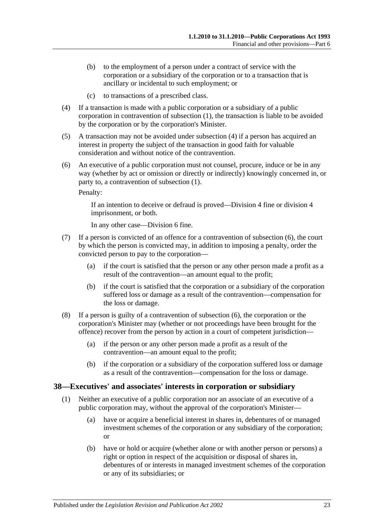- (b) to the employment of a person under a contract of service with the corporation or a subsidiary of the corporation or to a transaction that is ancillary or incidental to such employment; or
- (c) to transactions of a prescribed class.
- <span id="page-22-1"></span>(4) If a transaction is made with a public corporation or a subsidiary of a public corporation in contravention of [subsection](#page-21-1) (1), the transaction is liable to be avoided by the corporation or by the corporation's Minister.
- (5) A transaction may not be avoided under [subsection](#page-22-1) (4) if a person has acquired an interest in property the subject of the transaction in good faith for valuable consideration and without notice of the contravention.
- <span id="page-22-2"></span>(6) An executive of a public corporation must not counsel, procure, induce or be in any way (whether by act or omission or directly or indirectly) knowingly concerned in, or party to, a contravention of [subsection](#page-21-1) (1).

Penalty:

If an intention to deceive or defraud is proved—Division 4 fine or division 4 imprisonment, or both.

In any other case—Division 6 fine.

- (7) If a person is convicted of an offence for a contravention of [subsection](#page-22-2) (6), the court by which the person is convicted may, in addition to imposing a penalty, order the convicted person to pay to the corporation—
	- (a) if the court is satisfied that the person or any other person made a profit as a result of the contravention—an amount equal to the profit;
	- (b) if the court is satisfied that the corporation or a subsidiary of the corporation suffered loss or damage as a result of the contravention—compensation for the loss or damage.
- (8) If a person is guilty of a contravention of [subsection](#page-22-2) (6), the corporation or the corporation's Minister may (whether or not proceedings have been brought for the offence) recover from the person by action in a court of competent jurisdiction—
	- (a) if the person or any other person made a profit as a result of the contravention—an amount equal to the profit;
	- (b) if the corporation or a subsidiary of the corporation suffered loss or damage as a result of the contravention—compensation for the loss or damage.

#### <span id="page-22-3"></span><span id="page-22-0"></span>**38—Executives' and associates' interests in corporation or subsidiary**

- (1) Neither an executive of a public corporation nor an associate of an executive of a public corporation may, without the approval of the corporation's Minister—
	- (a) have or acquire a beneficial interest in shares in, debentures of or managed investment schemes of the corporation or any subsidiary of the corporation; or
	- (b) have or hold or acquire (whether alone or with another person or persons) a right or option in respect of the acquisition or disposal of shares in, debentures of or interests in managed investment schemes of the corporation or any of its subsidiaries; or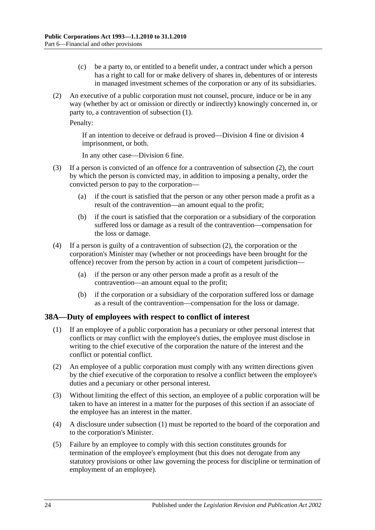- (c) be a party to, or entitled to a benefit under, a contract under which a person has a right to call for or make delivery of shares in, debentures of or interests in managed investment schemes of the corporation or any of its subsidiaries.
- <span id="page-23-1"></span>(2) An executive of a public corporation must not counsel, procure, induce or be in any way (whether by act or omission or directly or indirectly) knowingly concerned in, or party to, a contravention of [subsection](#page-22-3) (1).

Penalty:

If an intention to deceive or defraud is proved—Division 4 fine or division 4 imprisonment, or both.

In any other case—Division 6 fine.

- (3) If a person is convicted of an offence for a contravention of [subsection](#page-23-1) (2), the court by which the person is convicted may, in addition to imposing a penalty, order the convicted person to pay to the corporation—
	- (a) if the court is satisfied that the person or any other person made a profit as a result of the contravention—an amount equal to the profit;
	- (b) if the court is satisfied that the corporation or a subsidiary of the corporation suffered loss or damage as a result of the contravention—compensation for the loss or damage.
- (4) If a person is guilty of a contravention of [subsection](#page-23-1) (2), the corporation or the corporation's Minister may (whether or not proceedings have been brought for the offence) recover from the person by action in a court of competent jurisdiction—
	- (a) if the person or any other person made a profit as a result of the contravention—an amount equal to the profit;
	- (b) if the corporation or a subsidiary of the corporation suffered loss or damage as a result of the contravention—compensation for the loss or damage.

#### <span id="page-23-2"></span><span id="page-23-0"></span>**38A—Duty of employees with respect to conflict of interest**

- (1) If an employee of a public corporation has a pecuniary or other personal interest that conflicts or may conflict with the employee's duties, the employee must disclose in writing to the chief executive of the corporation the nature of the interest and the conflict or potential conflict.
- (2) An employee of a public corporation must comply with any written directions given by the chief executive of the corporation to resolve a conflict between the employee's duties and a pecuniary or other personal interest.
- (3) Without limiting the effect of this section, an employee of a public corporation will be taken to have an interest in a matter for the purposes of this section if an associate of the employee has an interest in the matter.
- (4) A disclosure under [subsection](#page-23-2) (1) must be reported to the board of the corporation and to the corporation's Minister.
- (5) Failure by an employee to comply with this section constitutes grounds for termination of the employee's employment (but this does not derogate from any statutory provisions or other law governing the process for discipline or termination of employment of an employee).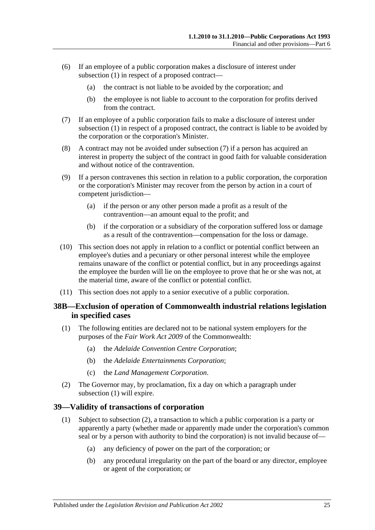- (6) If an employee of a public corporation makes a disclosure of interest under [subsection](#page-23-2) (1) in respect of a proposed contract—
	- (a) the contract is not liable to be avoided by the corporation; and
	- (b) the employee is not liable to account to the corporation for profits derived from the contract.
- <span id="page-24-2"></span>(7) If an employee of a public corporation fails to make a disclosure of interest under [subsection](#page-23-2) (1) in respect of a proposed contract, the contract is liable to be avoided by the corporation or the corporation's Minister.
- (8) A contract may not be avoided under [subsection](#page-24-2) (7) if a person has acquired an interest in property the subject of the contract in good faith for valuable consideration and without notice of the contravention.
- (9) If a person contravenes this section in relation to a public corporation, the corporation or the corporation's Minister may recover from the person by action in a court of competent jurisdiction—
	- (a) if the person or any other person made a profit as a result of the contravention—an amount equal to the profit; and
	- (b) if the corporation or a subsidiary of the corporation suffered loss or damage as a result of the contravention—compensation for the loss or damage.
- (10) This section does not apply in relation to a conflict or potential conflict between an employee's duties and a pecuniary or other personal interest while the employee remains unaware of the conflict or potential conflict, but in any proceedings against the employee the burden will lie on the employee to prove that he or she was not, at the material time, aware of the conflict or potential conflict.
- (11) This section does not apply to a senior executive of a public corporation.

#### <span id="page-24-0"></span>**38B—Exclusion of operation of Commonwealth industrial relations legislation in specified cases**

- <span id="page-24-3"></span>(1) The following entities are declared not to be national system employers for the purposes of the *Fair Work Act 2009* of the Commonwealth:
	- (a) the *Adelaide Convention Centre Corporation*;
	- (b) the *Adelaide Entertainments Corporation*;
	- (c) the *Land Management Corporation*.
- (2) The Governor may, by proclamation, fix a day on which a paragraph under [subsection](#page-24-3) (1) will expire.

#### <span id="page-24-1"></span>**39—Validity of transactions of corporation**

- (1) Subject to [subsection](#page-25-1) (2), a transaction to which a public corporation is a party or apparently a party (whether made or apparently made under the corporation's common seal or by a person with authority to bind the corporation) is not invalid because of—
	- (a) any deficiency of power on the part of the corporation; or
	- (b) any procedural irregularity on the part of the board or any director, employee or agent of the corporation; or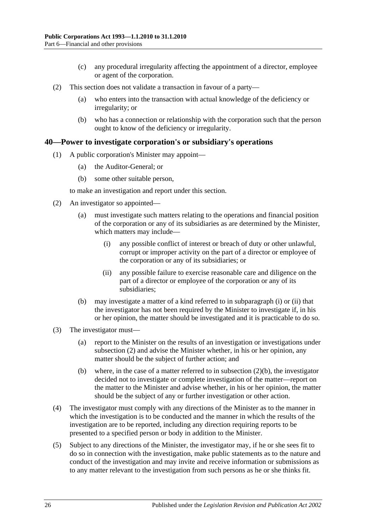- (c) any procedural irregularity affecting the appointment of a director, employee or agent of the corporation.
- <span id="page-25-1"></span>(2) This section does not validate a transaction in favour of a party—
	- (a) who enters into the transaction with actual knowledge of the deficiency or irregularity; or
	- (b) who has a connection or relationship with the corporation such that the person ought to know of the deficiency or irregularity.

#### <span id="page-25-0"></span>**40—Power to investigate corporation's or subsidiary's operations**

- (1) A public corporation's Minister may appoint—
	- (a) the Auditor-General; or
	- (b) some other suitable person,

to make an investigation and report under this section.

- <span id="page-25-4"></span><span id="page-25-2"></span>(2) An investigator so appointed—
	- (a) must investigate such matters relating to the operations and financial position of the corporation or any of its subsidiaries as are determined by the Minister, which matters may include—
		- (i) any possible conflict of interest or breach of duty or other unlawful, corrupt or improper activity on the part of a director or employee of the corporation or any of its subsidiaries; or
		- (ii) any possible failure to exercise reasonable care and diligence on the part of a director or employee of the corporation or any of its subsidiaries;
	- (b) may investigate a matter of a kind referred to in [subparagraph](#page-25-2) (i) or [\(ii\)](#page-25-3) that the investigator has not been required by the Minister to investigate if, in his or her opinion, the matter should be investigated and it is practicable to do so.
- <span id="page-25-5"></span><span id="page-25-3"></span>(3) The investigator must—
	- (a) report to the Minister on the results of an investigation or investigations under [subsection](#page-25-4) (2) and advise the Minister whether, in his or her opinion, any matter should be the subject of further action; and
	- (b) where, in the case of a matter referred to in [subsection](#page-25-5)  $(2)(b)$ , the investigator decided not to investigate or complete investigation of the matter—report on the matter to the Minister and advise whether, in his or her opinion, the matter should be the subject of any or further investigation or other action.
- (4) The investigator must comply with any directions of the Minister as to the manner in which the investigation is to be conducted and the manner in which the results of the investigation are to be reported, including any direction requiring reports to be presented to a specified person or body in addition to the Minister.
- (5) Subject to any directions of the Minister, the investigator may, if he or she sees fit to do so in connection with the investigation, make public statements as to the nature and conduct of the investigation and may invite and receive information or submissions as to any matter relevant to the investigation from such persons as he or she thinks fit.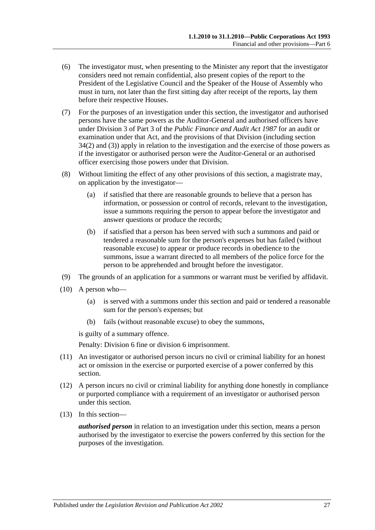- (6) The investigator must, when presenting to the Minister any report that the investigator considers need not remain confidential, also present copies of the report to the President of the Legislative Council and the Speaker of the House of Assembly who must in turn, not later than the first sitting day after receipt of the reports, lay them before their respective Houses.
- (7) For the purposes of an investigation under this section, the investigator and authorised persons have the same powers as the Auditor-General and authorised officers have under Division 3 of Part 3 of the *[Public Finance and Audit Act](http://www.legislation.sa.gov.au/index.aspx?action=legref&type=act&legtitle=Public%20Finance%20and%20Audit%20Act%201987) 1987* for an audit or examination under that Act, and the provisions of that Division (including section 34(2) and (3)) apply in relation to the investigation and the exercise of those powers as if the investigator or authorised person were the Auditor-General or an authorised officer exercising those powers under that Division.
- (8) Without limiting the effect of any other provisions of this section, a magistrate may, on application by the investigator—
	- (a) if satisfied that there are reasonable grounds to believe that a person has information, or possession or control of records, relevant to the investigation, issue a summons requiring the person to appear before the investigator and answer questions or produce the records;
	- (b) if satisfied that a person has been served with such a summons and paid or tendered a reasonable sum for the person's expenses but has failed (without reasonable excuse) to appear or produce records in obedience to the summons, issue a warrant directed to all members of the police force for the person to be apprehended and brought before the investigator.
- (9) The grounds of an application for a summons or warrant must be verified by affidavit.
- (10) A person who—
	- (a) is served with a summons under this section and paid or tendered a reasonable sum for the person's expenses; but
	- (b) fails (without reasonable excuse) to obey the summons,

is guilty of a summary offence.

Penalty: Division 6 fine or division 6 imprisonment.

- (11) An investigator or authorised person incurs no civil or criminal liability for an honest act or omission in the exercise or purported exercise of a power conferred by this section.
- (12) A person incurs no civil or criminal liability for anything done honestly in compliance or purported compliance with a requirement of an investigator or authorised person under this section.
- (13) In this section—

*authorised person* in relation to an investigation under this section, means a person authorised by the investigator to exercise the powers conferred by this section for the purposes of the investigation.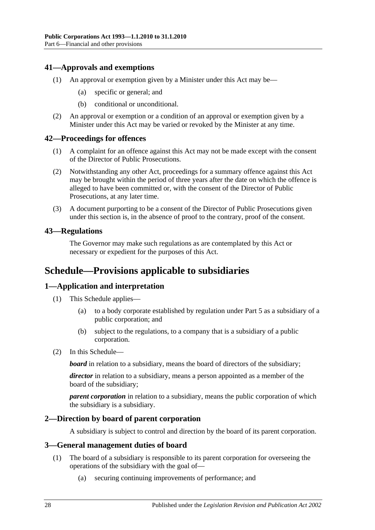#### <span id="page-27-0"></span>**41—Approvals and exemptions**

- (1) An approval or exemption given by a Minister under this Act may be—
	- (a) specific or general; and
	- (b) conditional or unconditional.
- (2) An approval or exemption or a condition of an approval or exemption given by a Minister under this Act may be varied or revoked by the Minister at any time.

#### <span id="page-27-1"></span>**42—Proceedings for offences**

- (1) A complaint for an offence against this Act may not be made except with the consent of the Director of Public Prosecutions.
- (2) Notwithstanding any other Act, proceedings for a summary offence against this Act may be brought within the period of three years after the date on which the offence is alleged to have been committed or, with the consent of the Director of Public Prosecutions, at any later time.
- (3) A document purporting to be a consent of the Director of Public Prosecutions given under this section is, in the absence of proof to the contrary, proof of the consent.

#### <span id="page-27-2"></span>**43—Regulations**

The Governor may make such regulations as are contemplated by this Act or necessary or expedient for the purposes of this Act.

### <span id="page-27-3"></span>**Schedule—Provisions applicable to subsidiaries**

#### <span id="page-27-4"></span>**1—Application and interpretation**

- (1) This Schedule applies—
	- (a) to a body corporate established by regulation under [Part 5](#page-13-3) as a subsidiary of a public corporation; and
	- (b) subject to the regulations, to a company that is a subsidiary of a public corporation.
- (2) In this Schedule—

*board* in relation to a subsidiary, means the board of directors of the subsidiary;

*director* in relation to a subsidiary, means a person appointed as a member of the board of the subsidiary;

*parent corporation* in relation to a subsidiary, means the public corporation of which the subsidiary is a subsidiary.

#### <span id="page-27-5"></span>**2—Direction by board of parent corporation**

A subsidiary is subject to control and direction by the board of its parent corporation.

#### <span id="page-27-7"></span><span id="page-27-6"></span>**3—General management duties of board**

- (1) The board of a subsidiary is responsible to its parent corporation for overseeing the operations of the subsidiary with the goal of—
	- (a) securing continuing improvements of performance; and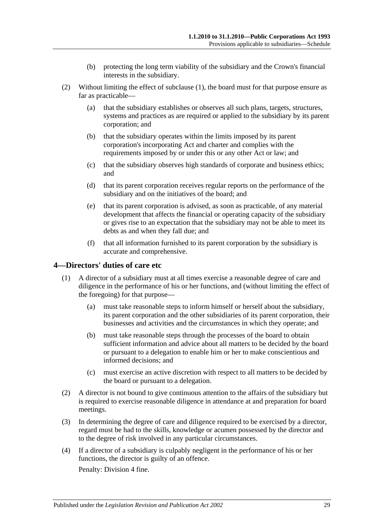- (b) protecting the long term viability of the subsidiary and the Crown's financial interests in the subsidiary.
- (2) Without limiting the effect of [subclause](#page-27-7) (1), the board must for that purpose ensure as far as practicable—
	- (a) that the subsidiary establishes or observes all such plans, targets, structures, systems and practices as are required or applied to the subsidiary by its parent corporation; and
	- (b) that the subsidiary operates within the limits imposed by its parent corporation's incorporating Act and charter and complies with the requirements imposed by or under this or any other Act or law; and
	- (c) that the subsidiary observes high standards of corporate and business ethics; and
	- (d) that its parent corporation receives regular reports on the performance of the subsidiary and on the initiatives of the board; and
	- (e) that its parent corporation is advised, as soon as practicable, of any material development that affects the financial or operating capacity of the subsidiary or gives rise to an expectation that the subsidiary may not be able to meet its debts as and when they fall due; and
	- (f) that all information furnished to its parent corporation by the subsidiary is accurate and comprehensive.

#### <span id="page-28-0"></span>**4—Directors' duties of care etc**

- (1) A director of a subsidiary must at all times exercise a reasonable degree of care and diligence in the performance of his or her functions, and (without limiting the effect of the foregoing) for that purpose—
	- (a) must take reasonable steps to inform himself or herself about the subsidiary, its parent corporation and the other subsidiaries of its parent corporation, their businesses and activities and the circumstances in which they operate; and
	- (b) must take reasonable steps through the processes of the board to obtain sufficient information and advice about all matters to be decided by the board or pursuant to a delegation to enable him or her to make conscientious and informed decisions; and
	- (c) must exercise an active discretion with respect to all matters to be decided by the board or pursuant to a delegation.
- (2) A director is not bound to give continuous attention to the affairs of the subsidiary but is required to exercise reasonable diligence in attendance at and preparation for board meetings.
- (3) In determining the degree of care and diligence required to be exercised by a director, regard must be had to the skills, knowledge or acumen possessed by the director and to the degree of risk involved in any particular circumstances.
- (4) If a director of a subsidiary is culpably negligent in the performance of his or her functions, the director is guilty of an offence.

Penalty: Division 4 fine.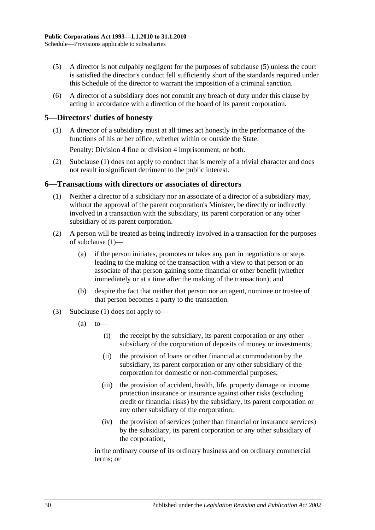- (5) A director is not culpably negligent for the purposes of subclause (5) unless the court is satisfied the director's conduct fell sufficiently short of the standards required under this Schedule of the director to warrant the imposition of a criminal sanction.
- (6) A director of a subsidiary does not commit any breach of duty under this clause by acting in accordance with a direction of the board of its parent corporation.

#### <span id="page-29-2"></span><span id="page-29-0"></span>**5—Directors' duties of honesty**

(1) A director of a subsidiary must at all times act honestly in the performance of the functions of his or her office, whether within or outside the State.

Penalty: Division 4 fine or division 4 imprisonment, or both.

(2) [Subclause](#page-29-2) (1) does not apply to conduct that is merely of a trivial character and does not result in significant detriment to the public interest.

#### <span id="page-29-3"></span><span id="page-29-1"></span>**6—Transactions with directors or associates of directors**

- (1) Neither a director of a subsidiary nor an associate of a director of a subsidiary may, without the approval of the parent corporation's Minister, be directly or indirectly involved in a transaction with the subsidiary, its parent corporation or any other subsidiary of its parent corporation.
- (2) A person will be treated as being indirectly involved in a transaction for the purposes of [subclause](#page-29-3) (1)—
	- (a) if the person initiates, promotes or takes any part in negotiations or steps leading to the making of the transaction with a view to that person or an associate of that person gaining some financial or other benefit (whether immediately or at a time after the making of the transaction); and
	- (b) despite the fact that neither that person nor an agent, nominee or trustee of that person becomes a party to the transaction.
- (3) [Subclause](#page-29-3) (1) does not apply to—
	- $(a)$  to
		- (i) the receipt by the subsidiary, its parent corporation or any other subsidiary of the corporation of deposits of money or investments;
		- (ii) the provision of loans or other financial accommodation by the subsidiary, its parent corporation or any other subsidiary of the corporation for domestic or non-commercial purposes;
		- (iii) the provision of accident, health, life, property damage or income protection insurance or insurance against other risks (excluding credit or financial risks) by the subsidiary, its parent corporation or any other subsidiary of the corporation;
		- (iv) the provision of services (other than financial or insurance services) by the subsidiary, its parent corporation or any other subsidiary of the corporation,

in the ordinary course of its ordinary business and on ordinary commercial terms; or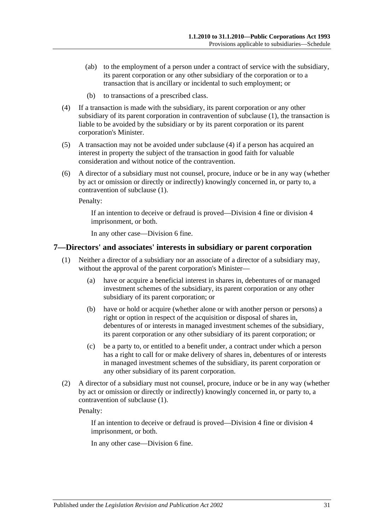- (ab) to the employment of a person under a contract of service with the subsidiary, its parent corporation or any other subsidiary of the corporation or to a transaction that is ancillary or incidental to such employment; or
- (b) to transactions of a prescribed class.
- <span id="page-30-1"></span>(4) If a transaction is made with the subsidiary, its parent corporation or any other subsidiary of its parent corporation in contravention of [subclause](#page-29-3) (1), the transaction is liable to be avoided by the subsidiary or by its parent corporation or its parent corporation's Minister.
- (5) A transaction may not be avoided under [subclause](#page-30-1) (4) if a person has acquired an interest in property the subject of the transaction in good faith for valuable consideration and without notice of the contravention.
- (6) A director of a subsidiary must not counsel, procure, induce or be in any way (whether by act or omission or directly or indirectly) knowingly concerned in, or party to, a contravention of [subclause](#page-29-3) (1).

Penalty:

If an intention to deceive or defraud is proved—Division 4 fine or division 4 imprisonment, or both.

In any other case—Division 6 fine.

#### <span id="page-30-2"></span><span id="page-30-0"></span>**7—Directors' and associates' interests in subsidiary or parent corporation**

- (1) Neither a director of a subsidiary nor an associate of a director of a subsidiary may, without the approval of the parent corporation's Minister—
	- (a) have or acquire a beneficial interest in shares in, debentures of or managed investment schemes of the subsidiary, its parent corporation or any other subsidiary of its parent corporation; or
	- (b) have or hold or acquire (whether alone or with another person or persons) a right or option in respect of the acquisition or disposal of shares in, debentures of or interests in managed investment schemes of the subsidiary, its parent corporation or any other subsidiary of its parent corporation; or
	- (c) be a party to, or entitled to a benefit under, a contract under which a person has a right to call for or make delivery of shares in, debentures of or interests in managed investment schemes of the subsidiary, its parent corporation or any other subsidiary of its parent corporation.
- (2) A director of a subsidiary must not counsel, procure, induce or be in any way (whether by act or omission or directly or indirectly) knowingly concerned in, or party to, a contravention of [subclause](#page-30-2) (1).

Penalty:

If an intention to deceive or defraud is proved—Division 4 fine or division 4 imprisonment, or both.

In any other case—Division 6 fine.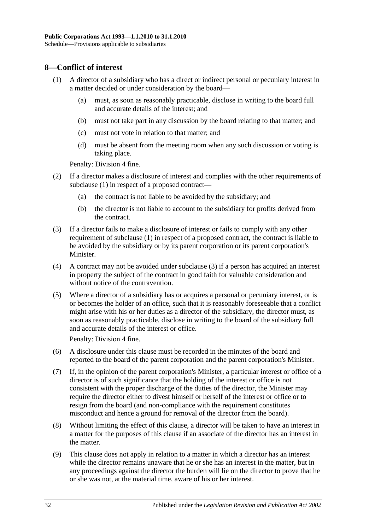#### <span id="page-31-1"></span><span id="page-31-0"></span>**8—Conflict of interest**

- (1) A director of a subsidiary who has a direct or indirect personal or pecuniary interest in a matter decided or under consideration by the board—
	- (a) must, as soon as reasonably practicable, disclose in writing to the board full and accurate details of the interest; and
	- (b) must not take part in any discussion by the board relating to that matter; and
	- (c) must not vote in relation to that matter; and
	- (d) must be absent from the meeting room when any such discussion or voting is taking place.

Penalty: Division 4 fine.

- (2) If a director makes a disclosure of interest and complies with the other requirements of [subclause](#page-31-1) (1) in respect of a proposed contract—
	- (a) the contract is not liable to be avoided by the subsidiary; and
	- (b) the director is not liable to account to the subsidiary for profits derived from the contract.
- <span id="page-31-2"></span>(3) If a director fails to make a disclosure of interest or fails to comply with any other requirement of [subclause](#page-31-1) (1) in respect of a proposed contract, the contract is liable to be avoided by the subsidiary or by its parent corporation or its parent corporation's Minister.
- (4) A contract may not be avoided under [subclause](#page-31-2) (3) if a person has acquired an interest in property the subject of the contract in good faith for valuable consideration and without notice of the contravention.
- (5) Where a director of a subsidiary has or acquires a personal or pecuniary interest, or is or becomes the holder of an office, such that it is reasonably foreseeable that a conflict might arise with his or her duties as a director of the subsidiary, the director must, as soon as reasonably practicable, disclose in writing to the board of the subsidiary full and accurate details of the interest or office.

Penalty: Division 4 fine.

- (6) A disclosure under this clause must be recorded in the minutes of the board and reported to the board of the parent corporation and the parent corporation's Minister.
- (7) If, in the opinion of the parent corporation's Minister, a particular interest or office of a director is of such significance that the holding of the interest or office is not consistent with the proper discharge of the duties of the director, the Minister may require the director either to divest himself or herself of the interest or office or to resign from the board (and non-compliance with the requirement constitutes misconduct and hence a ground for removal of the director from the board).
- (8) Without limiting the effect of this clause, a director will be taken to have an interest in a matter for the purposes of this clause if an associate of the director has an interest in the matter.
- (9) This clause does not apply in relation to a matter in which a director has an interest while the director remains unaware that he or she has an interest in the matter, but in any proceedings against the director the burden will lie on the director to prove that he or she was not, at the material time, aware of his or her interest.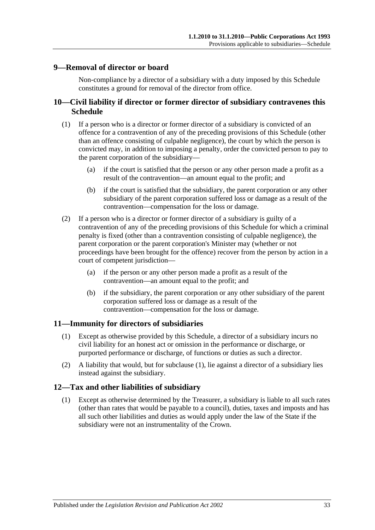#### <span id="page-32-0"></span>**9—Removal of director or board**

Non-compliance by a director of a subsidiary with a duty imposed by this Schedule constitutes a ground for removal of the director from office.

#### <span id="page-32-1"></span>**10—Civil liability if director or former director of subsidiary contravenes this Schedule**

- (1) If a person who is a director or former director of a subsidiary is convicted of an offence for a contravention of any of the preceding provisions of this Schedule (other than an offence consisting of culpable negligence), the court by which the person is convicted may, in addition to imposing a penalty, order the convicted person to pay to the parent corporation of the subsidiary—
	- (a) if the court is satisfied that the person or any other person made a profit as a result of the contravention—an amount equal to the profit; and
	- (b) if the court is satisfied that the subsidiary, the parent corporation or any other subsidiary of the parent corporation suffered loss or damage as a result of the contravention—compensation for the loss or damage.
- (2) If a person who is a director or former director of a subsidiary is guilty of a contravention of any of the preceding provisions of this Schedule for which a criminal penalty is fixed (other than a contravention consisting of culpable negligence), the parent corporation or the parent corporation's Minister may (whether or not proceedings have been brought for the offence) recover from the person by action in a court of competent jurisdiction—
	- (a) if the person or any other person made a profit as a result of the contravention—an amount equal to the profit; and
	- (b) if the subsidiary, the parent corporation or any other subsidiary of the parent corporation suffered loss or damage as a result of the contravention—compensation for the loss or damage.

#### <span id="page-32-4"></span><span id="page-32-2"></span>**11—Immunity for directors of subsidiaries**

- (1) Except as otherwise provided by this Schedule, a director of a subsidiary incurs no civil liability for an honest act or omission in the performance or discharge, or purported performance or discharge, of functions or duties as such a director.
- (2) A liability that would, but for [subclause](#page-32-4) (1), lie against a director of a subsidiary lies instead against the subsidiary.

#### <span id="page-32-3"></span>**12—Tax and other liabilities of subsidiary**

(1) Except as otherwise determined by the Treasurer, a subsidiary is liable to all such rates (other than rates that would be payable to a council), duties, taxes and imposts and has all such other liabilities and duties as would apply under the law of the State if the subsidiary were not an instrumentality of the Crown.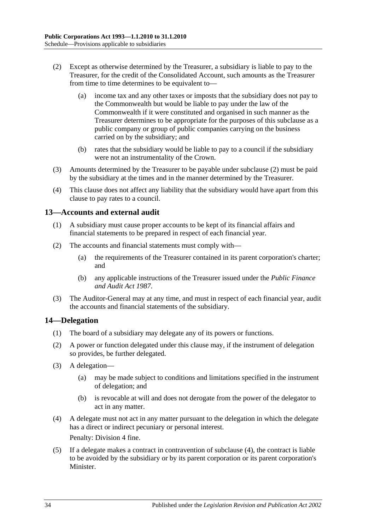- <span id="page-33-2"></span>(2) Except as otherwise determined by the Treasurer, a subsidiary is liable to pay to the Treasurer, for the credit of the Consolidated Account, such amounts as the Treasurer from time to time determines to be equivalent to—
	- (a) income tax and any other taxes or imposts that the subsidiary does not pay to the Commonwealth but would be liable to pay under the law of the Commonwealth if it were constituted and organised in such manner as the Treasurer determines to be appropriate for the purposes of this subclause as a public company or group of public companies carrying on the business carried on by the subsidiary; and
	- (b) rates that the subsidiary would be liable to pay to a council if the subsidiary were not an instrumentality of the Crown.
- (3) Amounts determined by the Treasurer to be payable under [subclause](#page-33-2) (2) must be paid by the subsidiary at the times and in the manner determined by the Treasurer.
- (4) This clause does not affect any liability that the subsidiary would have apart from this clause to pay rates to a council.

#### <span id="page-33-0"></span>**13—Accounts and external audit**

- (1) A subsidiary must cause proper accounts to be kept of its financial affairs and financial statements to be prepared in respect of each financial year.
- (2) The accounts and financial statements must comply with—
	- (a) the requirements of the Treasurer contained in its parent corporation's charter; and
	- (b) any applicable instructions of the Treasurer issued under the *[Public Finance](http://www.legislation.sa.gov.au/index.aspx?action=legref&type=act&legtitle=Public%20Finance%20and%20Audit%20Act%201987)  [and Audit Act](http://www.legislation.sa.gov.au/index.aspx?action=legref&type=act&legtitle=Public%20Finance%20and%20Audit%20Act%201987) 1987*.
- (3) The Auditor-General may at any time, and must in respect of each financial year, audit the accounts and financial statements of the subsidiary.

#### <span id="page-33-1"></span>**14—Delegation**

- (1) The board of a subsidiary may delegate any of its powers or functions.
- (2) A power or function delegated under this clause may, if the instrument of delegation so provides, be further delegated.
- (3) A delegation—
	- (a) may be made subject to conditions and limitations specified in the instrument of delegation; and
	- (b) is revocable at will and does not derogate from the power of the delegator to act in any matter.
- <span id="page-33-3"></span>(4) A delegate must not act in any matter pursuant to the delegation in which the delegate has a direct or indirect pecuniary or personal interest. Penalty: Division 4 fine.
- <span id="page-33-4"></span>(5) If a delegate makes a contract in contravention of [subclause](#page-33-3) (4), the contract is liable to be avoided by the subsidiary or by its parent corporation or its parent corporation's Minister.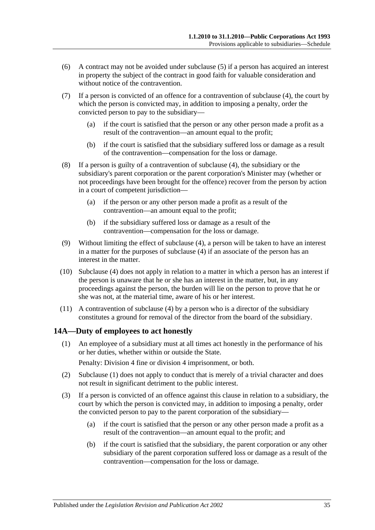- (6) A contract may not be avoided under [subclause](#page-33-4) (5) if a person has acquired an interest in property the subject of the contract in good faith for valuable consideration and without notice of the contravention.
- (7) If a person is convicted of an offence for a contravention of [subclause](#page-33-3) (4), the court by which the person is convicted may, in addition to imposing a penalty, order the convicted person to pay to the subsidiary—
	- (a) if the court is satisfied that the person or any other person made a profit as a result of the contravention—an amount equal to the profit;
	- (b) if the court is satisfied that the subsidiary suffered loss or damage as a result of the contravention—compensation for the loss or damage.
- (8) If a person is guilty of a contravention of [subclause](#page-33-3) (4), the subsidiary or the subsidiary's parent corporation or the parent corporation's Minister may (whether or not proceedings have been brought for the offence) recover from the person by action in a court of competent jurisdiction—
	- (a) if the person or any other person made a profit as a result of the contravention—an amount equal to the profit;
	- (b) if the subsidiary suffered loss or damage as a result of the contravention—compensation for the loss or damage.
- (9) Without limiting the effect of [subclause](#page-33-3) (4), a person will be taken to have an interest in a matter for the purposes of [subclause](#page-33-3) (4) if an associate of the person has an interest in the matter.
- (10) [Subclause](#page-33-3) (4) does not apply in relation to a matter in which a person has an interest if the person is unaware that he or she has an interest in the matter, but, in any proceedings against the person, the burden will lie on the person to prove that he or she was not, at the material time, aware of his or her interest.
- (11) A contravention of [subclause](#page-33-3) (4) by a person who is a director of the subsidiary constitutes a ground for removal of the director from the board of the subsidiary.

#### <span id="page-34-1"></span><span id="page-34-0"></span>**14A—Duty of employees to act honestly**

(1) An employee of a subsidiary must at all times act honestly in the performance of his or her duties, whether within or outside the State.

Penalty: Division 4 fine or division 4 imprisonment, or both.

- (2) [Subclause](#page-34-1) (1) does not apply to conduct that is merely of a trivial character and does not result in significant detriment to the public interest.
- (3) If a person is convicted of an offence against this clause in relation to a subsidiary, the court by which the person is convicted may, in addition to imposing a penalty, order the convicted person to pay to the parent corporation of the subsidiary—
	- (a) if the court is satisfied that the person or any other person made a profit as a result of the contravention—an amount equal to the profit; and
	- (b) if the court is satisfied that the subsidiary, the parent corporation or any other subsidiary of the parent corporation suffered loss or damage as a result of the contravention—compensation for the loss or damage.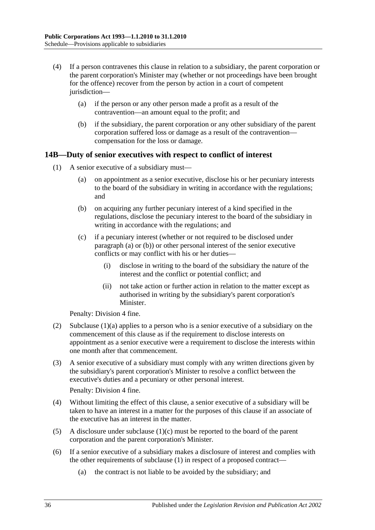- (4) If a person contravenes this clause in relation to a subsidiary, the parent corporation or the parent corporation's Minister may (whether or not proceedings have been brought for the offence) recover from the person by action in a court of competent jurisdiction—
	- (a) if the person or any other person made a profit as a result of the contravention—an amount equal to the profit; and
	- (b) if the subsidiary, the parent corporation or any other subsidiary of the parent corporation suffered loss or damage as a result of the contravention compensation for the loss or damage.

#### <span id="page-35-4"></span><span id="page-35-0"></span>**14B—Duty of senior executives with respect to conflict of interest**

- <span id="page-35-3"></span><span id="page-35-2"></span><span id="page-35-1"></span>(1) A senior executive of a subsidiary must—
	- (a) on appointment as a senior executive, disclose his or her pecuniary interests to the board of the subsidiary in writing in accordance with the regulations; and
	- (b) on acquiring any further pecuniary interest of a kind specified in the regulations, disclose the pecuniary interest to the board of the subsidiary in writing in accordance with the regulations; and
	- (c) if a pecuniary interest (whether or not required to be disclosed under [paragraph](#page-35-1) (a) or [\(b\)\)](#page-35-2) or other personal interest of the senior executive conflicts or may conflict with his or her duties—
		- (i) disclose in writing to the board of the subsidiary the nature of the interest and the conflict or potential conflict; and
		- (ii) not take action or further action in relation to the matter except as authorised in writing by the subsidiary's parent corporation's Minister.

Penalty: Division 4 fine.

- (2) [Subclause](#page-35-1) (1)(a) applies to a person who is a senior executive of a subsidiary on the commencement of this clause as if the requirement to disclose interests on appointment as a senior executive were a requirement to disclose the interests within one month after that commencement.
- (3) A senior executive of a subsidiary must comply with any written directions given by the subsidiary's parent corporation's Minister to resolve a conflict between the executive's duties and a pecuniary or other personal interest.

Penalty: Division 4 fine.

- (4) Without limiting the effect of this clause, a senior executive of a subsidiary will be taken to have an interest in a matter for the purposes of this clause if an associate of the executive has an interest in the matter.
- (5) A disclosure under [subclause](#page-35-3) (1)(c) must be reported to the board of the parent corporation and the parent corporation's Minister.
- (6) If a senior executive of a subsidiary makes a disclosure of interest and complies with the other requirements of [subclause](#page-35-4) (1) in respect of a proposed contract—
	- (a) the contract is not liable to be avoided by the subsidiary; and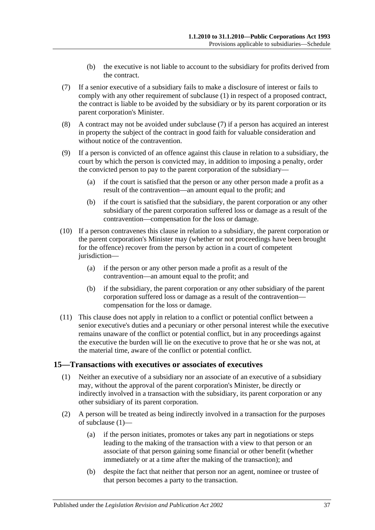- (b) the executive is not liable to account to the subsidiary for profits derived from the contract.
- <span id="page-36-1"></span>(7) If a senior executive of a subsidiary fails to make a disclosure of interest or fails to comply with any other requirement of [subclause](#page-35-4) (1) in respect of a proposed contract, the contract is liable to be avoided by the subsidiary or by its parent corporation or its parent corporation's Minister.
- (8) A contract may not be avoided under [subclause](#page-36-1) (7) if a person has acquired an interest in property the subject of the contract in good faith for valuable consideration and without notice of the contravention.
- (9) If a person is convicted of an offence against this clause in relation to a subsidiary, the court by which the person is convicted may, in addition to imposing a penalty, order the convicted person to pay to the parent corporation of the subsidiary—
	- (a) if the court is satisfied that the person or any other person made a profit as a result of the contravention—an amount equal to the profit; and
	- (b) if the court is satisfied that the subsidiary, the parent corporation or any other subsidiary of the parent corporation suffered loss or damage as a result of the contravention—compensation for the loss or damage.
- (10) If a person contravenes this clause in relation to a subsidiary, the parent corporation or the parent corporation's Minister may (whether or not proceedings have been brought for the offence) recover from the person by action in a court of competent jurisdiction—
	- (a) if the person or any other person made a profit as a result of the contravention—an amount equal to the profit; and
	- (b) if the subsidiary, the parent corporation or any other subsidiary of the parent corporation suffered loss or damage as a result of the contravention compensation for the loss or damage.
- (11) This clause does not apply in relation to a conflict or potential conflict between a senior executive's duties and a pecuniary or other personal interest while the executive remains unaware of the conflict or potential conflict, but in any proceedings against the executive the burden will lie on the executive to prove that he or she was not, at the material time, aware of the conflict or potential conflict.

#### <span id="page-36-2"></span><span id="page-36-0"></span>**15—Transactions with executives or associates of executives**

- (1) Neither an executive of a subsidiary nor an associate of an executive of a subsidiary may, without the approval of the parent corporation's Minister, be directly or indirectly involved in a transaction with the subsidiary, its parent corporation or any other subsidiary of its parent corporation.
- (2) A person will be treated as being indirectly involved in a transaction for the purposes of [subclause](#page-36-2) (1)—
	- (a) if the person initiates, promotes or takes any part in negotiations or steps leading to the making of the transaction with a view to that person or an associate of that person gaining some financial or other benefit (whether immediately or at a time after the making of the transaction); and
	- (b) despite the fact that neither that person nor an agent, nominee or trustee of that person becomes a party to the transaction.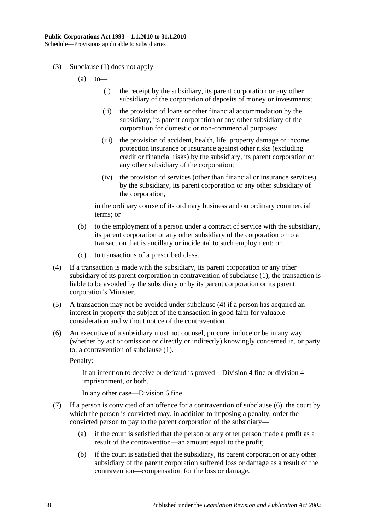- (3) [Subclause](#page-36-2) (1) does not apply—
	- $(a)$  to
		- (i) the receipt by the subsidiary, its parent corporation or any other subsidiary of the corporation of deposits of money or investments;
		- (ii) the provision of loans or other financial accommodation by the subsidiary, its parent corporation or any other subsidiary of the corporation for domestic or non-commercial purposes;
		- (iii) the provision of accident, health, life, property damage or income protection insurance or insurance against other risks (excluding credit or financial risks) by the subsidiary, its parent corporation or any other subsidiary of the corporation;
		- (iv) the provision of services (other than financial or insurance services) by the subsidiary, its parent corporation or any other subsidiary of the corporation,

in the ordinary course of its ordinary business and on ordinary commercial terms; or

- (b) to the employment of a person under a contract of service with the subsidiary, its parent corporation or any other subsidiary of the corporation or to a transaction that is ancillary or incidental to such employment; or
- (c) to transactions of a prescribed class.
- <span id="page-37-0"></span>(4) If a transaction is made with the subsidiary, its parent corporation or any other subsidiary of its parent corporation in contravention of [subclause](#page-36-2) (1), the transaction is liable to be avoided by the subsidiary or by its parent corporation or its parent corporation's Minister.
- (5) A transaction may not be avoided under [subclause](#page-37-0) (4) if a person has acquired an interest in property the subject of the transaction in good faith for valuable consideration and without notice of the contravention.
- <span id="page-37-1"></span>(6) An executive of a subsidiary must not counsel, procure, induce or be in any way (whether by act or omission or directly or indirectly) knowingly concerned in, or party to, a contravention of [subclause](#page-36-2) (1).

Penalty:

If an intention to deceive or defraud is proved—Division 4 fine or division 4 imprisonment, or both.

In any other case—Division 6 fine.

- (7) If a person is convicted of an offence for a contravention of [subclause](#page-37-1) (6), the court by which the person is convicted may, in addition to imposing a penalty, order the convicted person to pay to the parent corporation of the subsidiary—
	- (a) if the court is satisfied that the person or any other person made a profit as a result of the contravention—an amount equal to the profit;
	- (b) if the court is satisfied that the subsidiary, its parent corporation or any other subsidiary of the parent corporation suffered loss or damage as a result of the contravention—compensation for the loss or damage.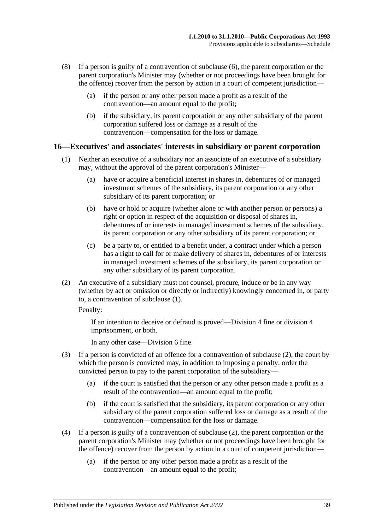- (8) If a person is guilty of a contravention of [subclause](#page-37-1) (6), the parent corporation or the parent corporation's Minister may (whether or not proceedings have been brought for the offence) recover from the person by action in a court of competent jurisdiction—
	- (a) if the person or any other person made a profit as a result of the contravention—an amount equal to the profit;
	- (b) if the subsidiary, its parent corporation or any other subsidiary of the parent corporation suffered loss or damage as a result of the contravention—compensation for the loss or damage.

#### <span id="page-38-1"></span><span id="page-38-0"></span>**16—Executives' and associates' interests in subsidiary or parent corporation**

- (1) Neither an executive of a subsidiary nor an associate of an executive of a subsidiary may, without the approval of the parent corporation's Minister—
	- (a) have or acquire a beneficial interest in shares in, debentures of or managed investment schemes of the subsidiary, its parent corporation or any other subsidiary of its parent corporation; or
	- (b) have or hold or acquire (whether alone or with another person or persons) a right or option in respect of the acquisition or disposal of shares in, debentures of or interests in managed investment schemes of the subsidiary, its parent corporation or any other subsidiary of its parent corporation; or
	- (c) be a party to, or entitled to a benefit under, a contract under which a person has a right to call for or make delivery of shares in, debentures of or interests in managed investment schemes of the subsidiary, its parent corporation or any other subsidiary of its parent corporation.
- <span id="page-38-2"></span>(2) An executive of a subsidiary must not counsel, procure, induce or be in any way (whether by act or omission or directly or indirectly) knowingly concerned in, or party to, a contravention of [subclause](#page-38-1) (1).

Penalty:

If an intention to deceive or defraud is proved—Division 4 fine or division 4 imprisonment, or both.

In any other case—Division 6 fine.

- (3) If a person is convicted of an offence for a contravention of [subclause](#page-38-2) (2), the court by which the person is convicted may, in addition to imposing a penalty, order the convicted person to pay to the parent corporation of the subsidiary—
	- (a) if the court is satisfied that the person or any other person made a profit as a result of the contravention—an amount equal to the profit;
	- (b) if the court is satisfied that the subsidiary, its parent corporation or any other subsidiary of the parent corporation suffered loss or damage as a result of the contravention—compensation for the loss or damage.
- (4) If a person is guilty of a contravention of [subclause](#page-38-2) (2), the parent corporation or the parent corporation's Minister may (whether or not proceedings have been brought for the offence) recover from the person by action in a court of competent jurisdiction—
	- (a) if the person or any other person made a profit as a result of the contravention—an amount equal to the profit;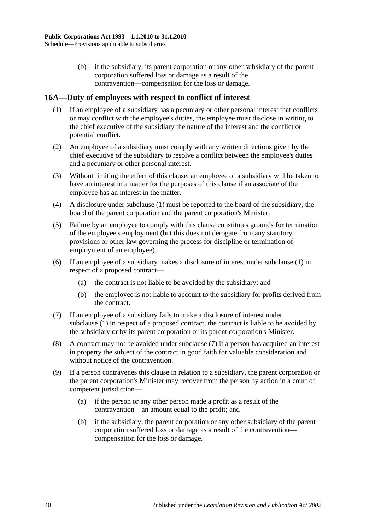(b) if the subsidiary, its parent corporation or any other subsidiary of the parent corporation suffered loss or damage as a result of the contravention—compensation for the loss or damage.

#### <span id="page-39-1"></span><span id="page-39-0"></span>**16A—Duty of employees with respect to conflict of interest**

- (1) If an employee of a subsidiary has a pecuniary or other personal interest that conflicts or may conflict with the employee's duties, the employee must disclose in writing to the chief executive of the subsidiary the nature of the interest and the conflict or potential conflict.
- (2) An employee of a subsidiary must comply with any written directions given by the chief executive of the subsidiary to resolve a conflict between the employee's duties and a pecuniary or other personal interest.
- (3) Without limiting the effect of this clause, an employee of a subsidiary will be taken to have an interest in a matter for the purposes of this clause if an associate of the employee has an interest in the matter.
- (4) A disclosure under [subclause](#page-39-1) (1) must be reported to the board of the subsidiary, the board of the parent corporation and the parent corporation's Minister.
- (5) Failure by an employee to comply with this clause constitutes grounds for termination of the employee's employment (but this does not derogate from any statutory provisions or other law governing the process for discipline or termination of employment of an employee).
- (6) If an employee of a subsidiary makes a disclosure of interest under [subclause](#page-39-1) (1) in respect of a proposed contract—
	- (a) the contract is not liable to be avoided by the subsidiary; and
	- (b) the employee is not liable to account to the subsidiary for profits derived from the contract.
- <span id="page-39-2"></span>(7) If an employee of a subsidiary fails to make a disclosure of interest under [subclause](#page-39-1) (1) in respect of a proposed contract, the contract is liable to be avoided by the subsidiary or by its parent corporation or its parent corporation's Minister.
- (8) A contract may not be avoided under [subclause](#page-39-2) (7) if a person has acquired an interest in property the subject of the contract in good faith for valuable consideration and without notice of the contravention.
- (9) If a person contravenes this clause in relation to a subsidiary, the parent corporation or the parent corporation's Minister may recover from the person by action in a court of competent jurisdiction—
	- (a) if the person or any other person made a profit as a result of the contravention—an amount equal to the profit; and
	- (b) if the subsidiary, the parent corporation or any other subsidiary of the parent corporation suffered loss or damage as a result of the contravention compensation for the loss or damage.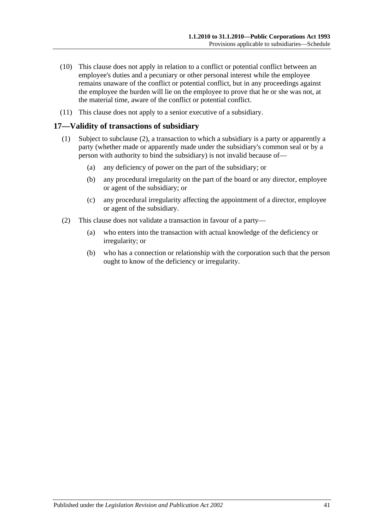- (10) This clause does not apply in relation to a conflict or potential conflict between an employee's duties and a pecuniary or other personal interest while the employee remains unaware of the conflict or potential conflict, but in any proceedings against the employee the burden will lie on the employee to prove that he or she was not, at the material time, aware of the conflict or potential conflict.
- (11) This clause does not apply to a senior executive of a subsidiary.

#### <span id="page-40-0"></span>**17—Validity of transactions of subsidiary**

- (1) Subject to [subclause](#page-40-1) (2), a transaction to which a subsidiary is a party or apparently a party (whether made or apparently made under the subsidiary's common seal or by a person with authority to bind the subsidiary) is not invalid because of—
	- (a) any deficiency of power on the part of the subsidiary; or
	- (b) any procedural irregularity on the part of the board or any director, employee or agent of the subsidiary; or
	- (c) any procedural irregularity affecting the appointment of a director, employee or agent of the subsidiary.
- <span id="page-40-1"></span>(2) This clause does not validate a transaction in favour of a party—
	- (a) who enters into the transaction with actual knowledge of the deficiency or irregularity; or
	- (b) who has a connection or relationship with the corporation such that the person ought to know of the deficiency or irregularity.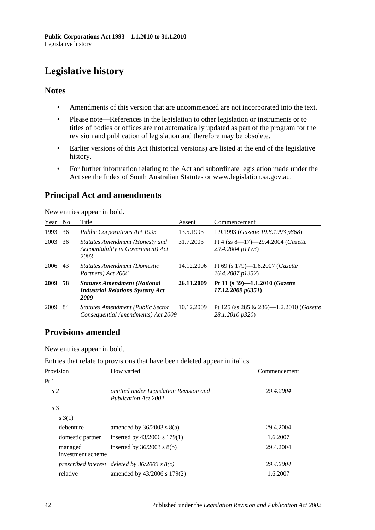# <span id="page-41-0"></span>**Legislative history**

#### **Notes**

- Amendments of this version that are uncommenced are not incorporated into the text.
- Please note—References in the legislation to other legislation or instruments or to titles of bodies or offices are not automatically updated as part of the program for the revision and publication of legislation and therefore may be obsolete.
- Earlier versions of this Act (historical versions) are listed at the end of the legislative history.
- For further information relating to the Act and subordinate legislation made under the Act see the Index of South Australian Statutes or www.legislation.sa.gov.au.

### **Principal Act and amendments**

New entries appear in bold.

| Year | N <sub>o</sub> | Title                                                                                  | Assent     | Commencement                                                |
|------|----------------|----------------------------------------------------------------------------------------|------------|-------------------------------------------------------------|
| 1993 | 36             | <b>Public Corporations Act 1993</b>                                                    | 13.5.1993  | 1.9.1993 (Gazette 19.8.1993 p868)                           |
| 2003 | 36             | Statutes Amendment (Honesty and<br>Accountability in Government) Act<br>2003           | 31.7.2003  | Pt 4 (ss 8-17)-29.4.2004 (Gazette<br>29.4.2004 p1173)       |
| 2006 | 43             | <b>Statutes Amendment (Domestic</b><br>Partners) Act 2006                              | 14.12.2006 | Pt 69 (s 179)—1.6.2007 ( <i>Gazette</i><br>26.4.2007 p1352) |
| 2009 | 58             | <b>Statutes Amendment (National</b><br><b>Industrial Relations System) Act</b><br>2009 | 26.11.2009 | Pt 11 (s 39)-1.1.2010 (Gazette<br>17.12.2009 p6351)         |
| 2009 | 84             | <b>Statutes Amendment (Public Sector</b><br>Consequential Amendments) Act 2009         | 10.12.2009 | Pt 125 (ss 285 & 286)—1.2.2010 (Gazette<br>28.1.2010 p320)  |

### **Provisions amended**

New entries appear in bold.

| Entries that relate to provisions that have been deleted appear in italics. |  |  |  |  |
|-----------------------------------------------------------------------------|--|--|--|--|
|-----------------------------------------------------------------------------|--|--|--|--|

| Provision                    | How varied                                                     | Commencement |
|------------------------------|----------------------------------------------------------------|--------------|
| Pt <sub>1</sub>              |                                                                |              |
| s <sub>2</sub>               | omitted under Legislation Revision and<br>Publication Act 2002 | 29.4.2004    |
| s <sub>3</sub>               |                                                                |              |
| s(1)                         |                                                                |              |
| debenture                    | amended by $36/2003$ s $8(a)$                                  | 29.4.2004    |
| domestic partner             | inserted by $43/2006$ s $179(1)$                               | 1.6.2007     |
| managed<br>investment scheme | inserted by $36/2003$ s $8(b)$                                 | 29.4.2004    |
|                              | prescribed interest deleted by $36/2003$ s $8(c)$              | 29.4.2004    |
| relative                     | amended by $43/2006$ s $179(2)$                                | 1.6.2007     |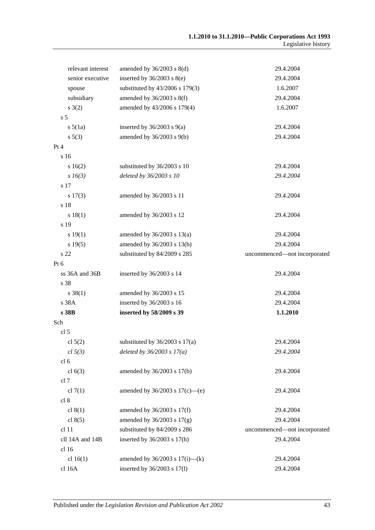| relevant interest | amended by $36/2003$ s $8(d)$       | 29.4.2004                    |
|-------------------|-------------------------------------|------------------------------|
| senior executive  | inserted by $36/2003$ s $8(e)$      | 29.4.2004                    |
| spouse            | substituted by 43/2006 s 179(3)     | 1.6.2007                     |
| subsidiary        | amended by $36/2003$ s $8(f)$       | 29.4.2004                    |
| s(2)              | amended by 43/2006 s 179(4)         | 1.6.2007                     |
| s <sub>5</sub>    |                                     |                              |
| $s\,5(1a)$        | inserted by $36/2003$ s $9(a)$      | 29.4.2004                    |
| s 5(3)            | amended by $36/2003$ s $9(b)$       | 29.4.2004                    |
| Pt 4              |                                     |                              |
| s 16              |                                     |                              |
| s16(2)            | substituted by 36/2003 s 10         | 29.4.2004                    |
| $s\,16(3)$        | deleted by 36/2003 s 10             | 29.4.2004                    |
| s 17              |                                     |                              |
| s 17(3)           | amended by 36/2003 s 11             | 29.4.2004                    |
| s 18              |                                     |                              |
| s 18(1)           | amended by 36/2003 s 12             | 29.4.2004                    |
| s 19              |                                     |                              |
| s 19(1)           | amended by $36/2003$ s $13(a)$      | 29.4.2004                    |
| s 19(5)           | amended by 36/2003 s 13(b)          | 29.4.2004                    |
| s 22              | substituted by 84/2009 s 285        | uncommenced-not incorporated |
| Pt 6              |                                     |                              |
| ss 36A and 36B    | inserted by 36/2003 s 14            | 29.4.2004                    |
| s 38              |                                     |                              |
| $s \ 38(1)$       | amended by 36/2003 s 15             | 29.4.2004                    |
| s 38A             | inserted by 36/2003 s 16            | 29.4.2004                    |
| s 38B             | inserted by 58/2009 s 39            | 1.1.2010                     |
| Sch               |                                     |                              |
| cl 5              |                                     |                              |
| cl $5(2)$         | substituted by $36/2003$ s $17(a)$  | 29.4.2004                    |
| cl 5(3)           | deleted by $36/2003$ s $17(a)$      | 29.4.2004                    |
| cl <sub>6</sub>   |                                     |                              |
| cl $6(3)$         | amended by 36/2003 s 17(b)          | 29.4.2004                    |
| cl 7              |                                     |                              |
| cl $7(1)$         | amended by $36/2003$ s $17(c)$ —(e) | 29.4.2004                    |
| cl 8              |                                     |                              |
| cl $8(1)$         | amended by $36/2003$ s $17(f)$      | 29.4.2004                    |
| cl $8(5)$         | amended by $36/2003$ s $17(g)$      | 29.4.2004                    |
| cl 11             | substituted by 84/2009 s 286        | uncommenced-not incorporated |
| cll 14A and 14B   | inserted by 36/2003 s 17(h)         | 29.4.2004                    |
| cl 16             |                                     |                              |
| cl $16(1)$        | amended by $36/2003$ s $17(i)$ —(k) | 29.4.2004                    |
| cl 16A            | inserted by 36/2003 s 17(l)         | 29.4.2004                    |